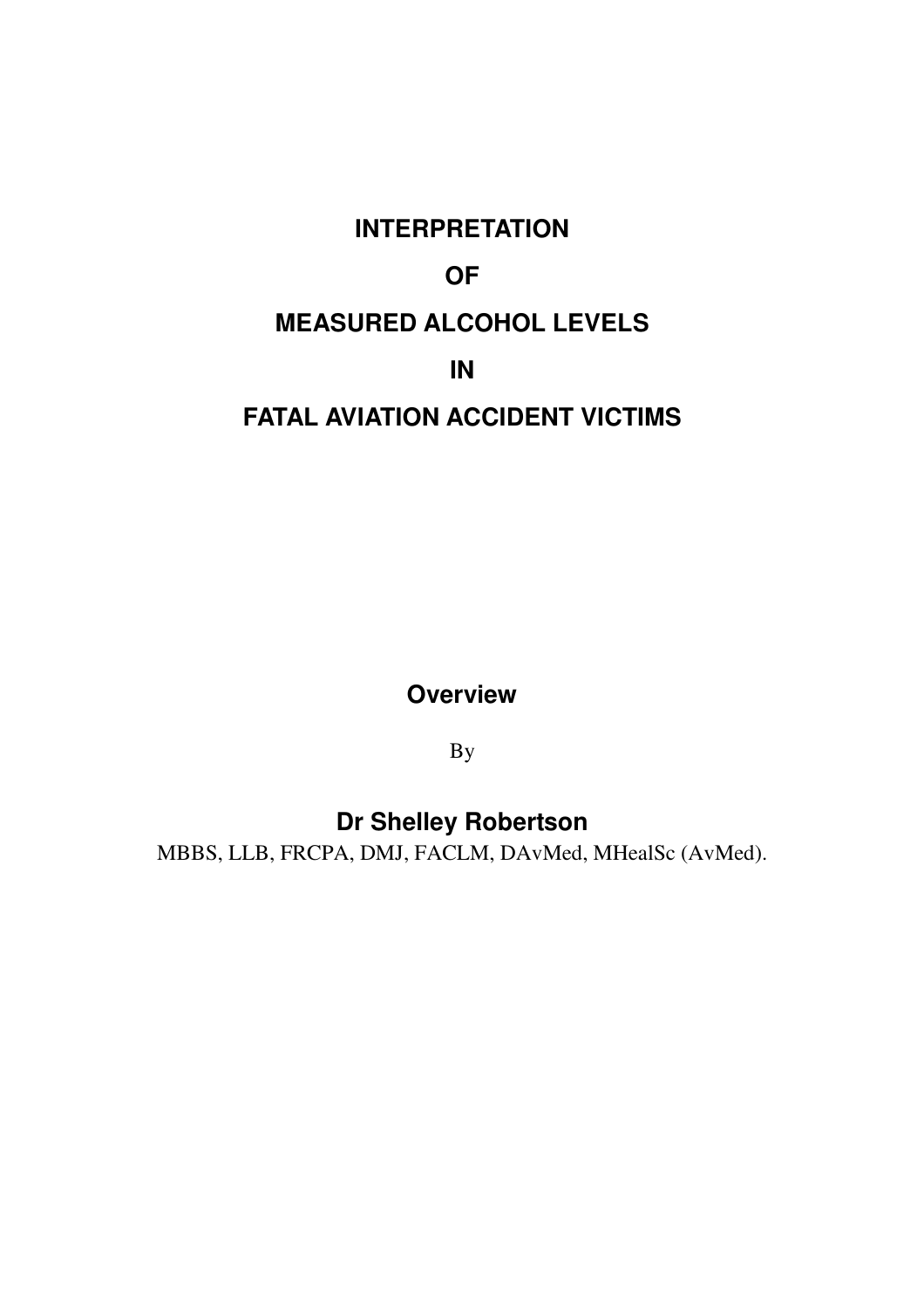# **INTERPRETATION OF MEASURED ALCOHOL LEVELS IN FATAL AVIATION ACCIDENT VICTIMS**

**Overview**

By

**Dr Shelley Robertson**

MBBS, LLB, FRCPA, DMJ, FACLM, DAvMed, MHealSc (AvMed).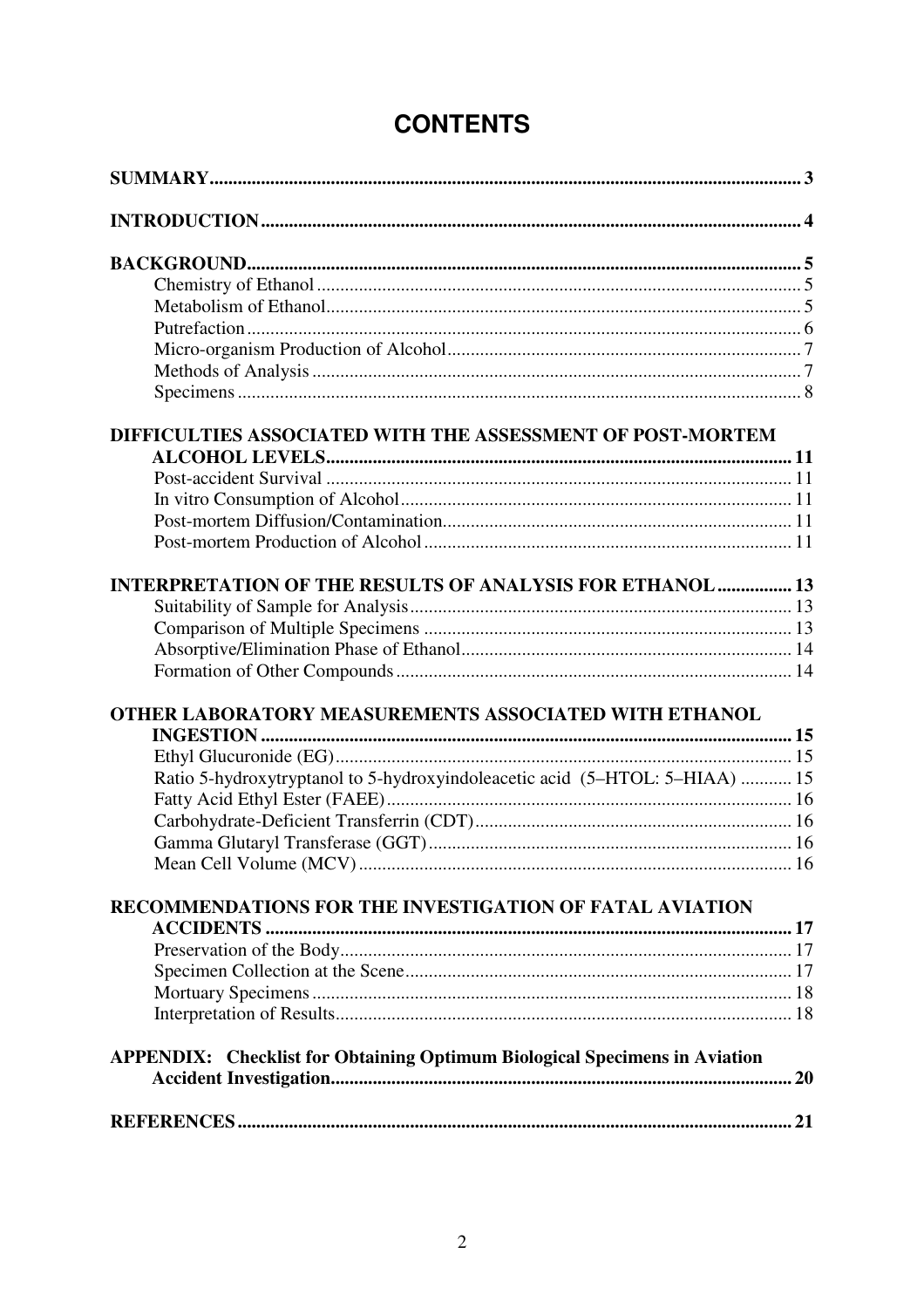| DIFFICULTIES ASSOCIATED WITH THE ASSESSMENT OF POST-MORTEM                        |  |
|-----------------------------------------------------------------------------------|--|
|                                                                                   |  |
|                                                                                   |  |
|                                                                                   |  |
|                                                                                   |  |
|                                                                                   |  |
| <b>INTERPRETATION OF THE RESULTS OF ANALYSIS FOR ETHANOL  13</b>                  |  |
|                                                                                   |  |
|                                                                                   |  |
|                                                                                   |  |
|                                                                                   |  |
| OTHER LABORATORY MEASUREMENTS ASSOCIATED WITH ETHANOL                             |  |
|                                                                                   |  |
|                                                                                   |  |
| Ratio 5-hydroxytryptanol to 5-hydroxyindoleacetic acid (5-HTOL: 5-HIAA)  15       |  |
|                                                                                   |  |
|                                                                                   |  |
|                                                                                   |  |
|                                                                                   |  |
| RECOMMENDATIONS FOR THE INVESTIGATION OF FATAL AVIATION                           |  |
|                                                                                   |  |
|                                                                                   |  |
|                                                                                   |  |
|                                                                                   |  |
|                                                                                   |  |
| <b>APPENDIX:</b> Checklist for Obtaining Optimum Biological Specimens in Aviation |  |
|                                                                                   |  |
|                                                                                   |  |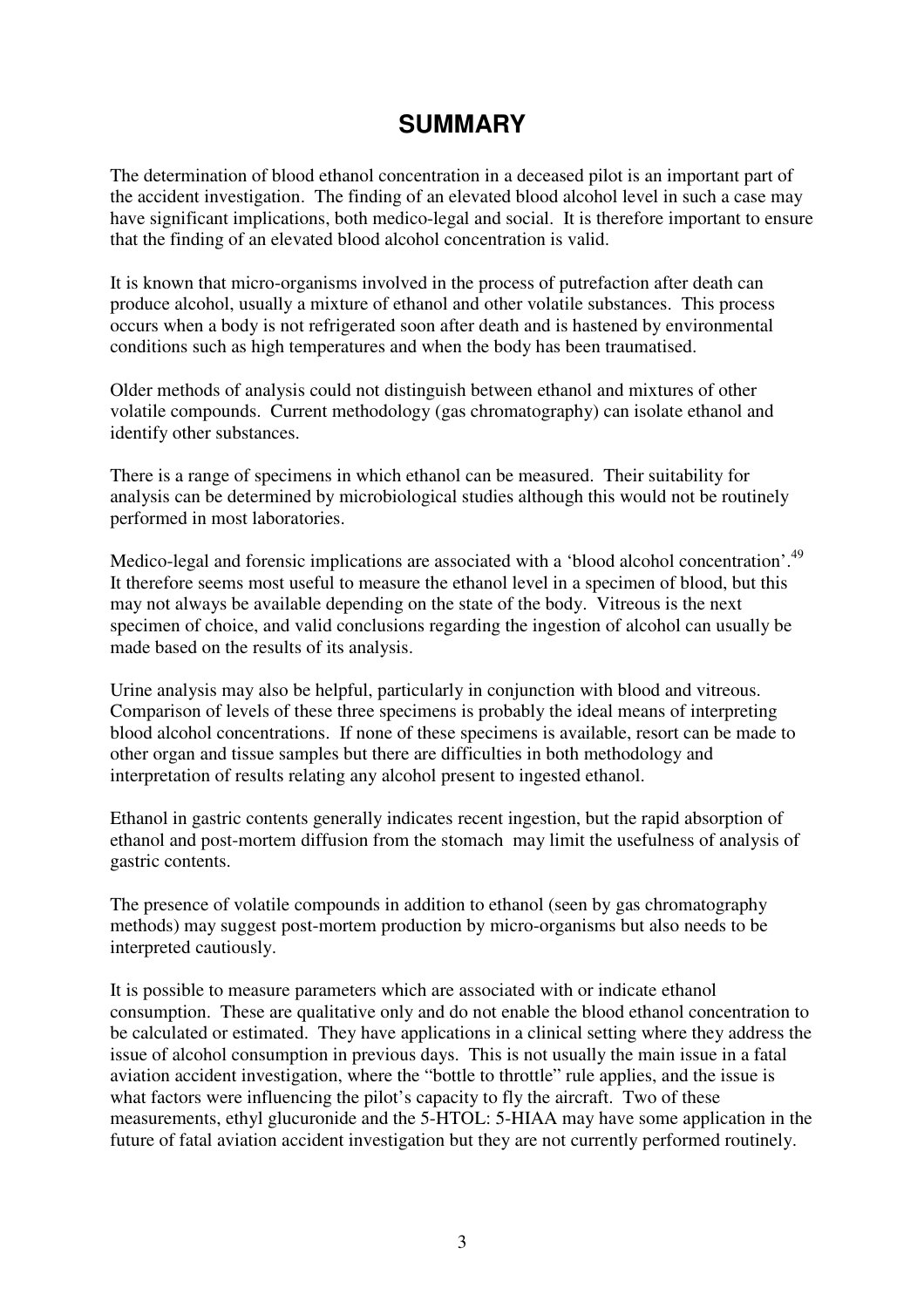# **SUMMARY**

The determination of blood ethanol concentration in a deceased pilot is an important part of the accident investigation. The finding of an elevated blood alcohol level in such a case may have significant implications, both medico-legal and social. It is therefore important to ensure that the finding of an elevated blood alcohol concentration is valid.

It is known that micro-organisms involved in the process of putrefaction after death can produce alcohol, usually a mixture of ethanol and other volatile substances. This process occurs when a body is not refrigerated soon after death and is hastened by environmental conditions such as high temperatures and when the body has been traumatised.

Older methods of analysis could not distinguish between ethanol and mixtures of other volatile compounds. Current methodology (gas chromatography) can isolate ethanol and identify other substances.

There is a range of specimens in which ethanol can be measured. Their suitability for analysis can be determined by microbiological studies although this would not be routinely performed in most laboratories.

Medico-legal and forensic implications are associated with a 'blood alcohol concentration'.<sup>49</sup> It therefore seems most useful to measure the ethanol level in a specimen of blood, but this may not always be available depending on the state of the body. Vitreous is the next specimen of choice, and valid conclusions regarding the ingestion of alcohol can usually be made based on the results of its analysis.

Urine analysis may also be helpful, particularly in conjunction with blood and vitreous. Comparison of levels of these three specimens is probably the ideal means of interpreting blood alcohol concentrations. If none of these specimens is available, resort can be made to other organ and tissue samples but there are difficulties in both methodology and interpretation of results relating any alcohol present to ingested ethanol.

Ethanol in gastric contents generally indicates recent ingestion, but the rapid absorption of ethanol and post-mortem diffusion from the stomach may limit the usefulness of analysis of gastric contents.

The presence of volatile compounds in addition to ethanol (seen by gas chromatography methods) may suggest post-mortem production by micro-organisms but also needs to be interpreted cautiously.

It is possible to measure parameters which are associated with or indicate ethanol consumption. These are qualitative only and do not enable the blood ethanol concentration to be calculated or estimated. They have applications in a clinical setting where they address the issue of alcohol consumption in previous days. This is not usually the main issue in a fatal aviation accident investigation, where the "bottle to throttle" rule applies, and the issue is what factors were influencing the pilot's capacity to fly the aircraft. Two of these measurements, ethyl glucuronide and the 5-HTOL: 5-HIAA may have some application in the future of fatal aviation accident investigation but they are not currently performed routinely.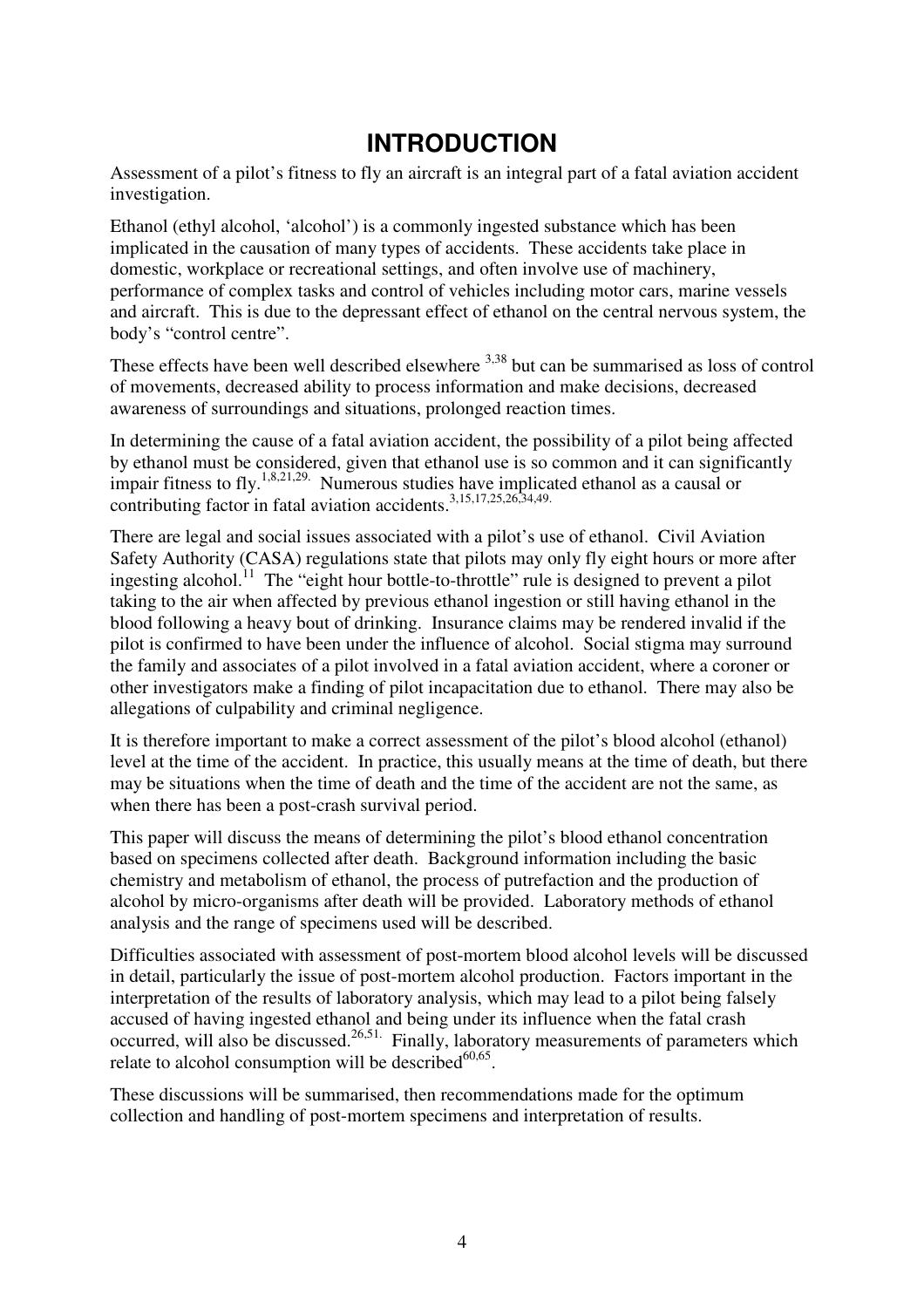# **INTRODUCTION**

Assessment of a pilot's fitness to fly an aircraft is an integral part of a fatal aviation accident investigation.

Ethanol (ethyl alcohol, 'alcohol') is a commonly ingested substance which has been implicated in the causation of many types of accidents. These accidents take place in domestic, workplace or recreational settings, and often involve use of machinery, performance of complex tasks and control of vehicles including motor cars, marine vessels and aircraft. This is due to the depressant effect of ethanol on the central nervous system, the body's "control centre".

These effects have been well described elsewhere <sup>3,38</sup> but can be summarised as loss of control of movements, decreased ability to process information and make decisions, decreased awareness of surroundings and situations, prolonged reaction times.

In determining the cause of a fatal aviation accident, the possibility of a pilot being affected by ethanol must be considered, given that ethanol use is so common and it can significantly impair fitness to fly.<sup>1,8,21,29</sup>. Numerous studies have implicated ethanol as a causal or contributing factor in fatal aviation accidents. 3,15,17,25,26,34,49.

There are legal and social issues associated with a pilot's use of ethanol. Civil Aviation Safety Authority (CASA) regulations state that pilots may only fly eight hours or more after ingesting alcohol.<sup>11</sup> The "eight hour bottle-to-throttle" rule is designed to prevent a pilot taking to the air when affected by previous ethanol ingestion or still having ethanol in the blood following a heavy bout of drinking. Insurance claims may be rendered invalid if the pilot is confirmed to have been under the influence of alcohol. Social stigma may surround the family and associates of a pilot involved in a fatal aviation accident, where a coroner or other investigators make a finding of pilot incapacitation due to ethanol. There may also be allegations of culpability and criminal negligence.

It is therefore important to make a correct assessment of the pilot's blood alcohol (ethanol) level at the time of the accident. In practice, this usually means at the time of death, but there may be situations when the time of death and the time of the accident are not the same, as when there has been a post-crash survival period.

This paper will discuss the means of determining the pilot's blood ethanol concentration based on specimens collected after death. Background information including the basic chemistry and metabolism of ethanol, the process of putrefaction and the production of alcohol by micro-organisms after death will be provided. Laboratory methods of ethanol analysis and the range of specimens used will be described.

Difficulties associated with assessment of post-mortem blood alcohol levels will be discussed in detail, particularly the issue of post-mortem alcohol production. Factors important in the interpretation of the results of laboratory analysis, which may lead to a pilot being falsely accused of having ingested ethanol and being under its influence when the fatal crash occurred, will also be discussed.<sup>26,51.</sup> Finally, laboratory measurements of parameters which relate to alcohol consumption will be described<sup>60,65</sup>.

These discussions will be summarised, then recommendations made for the optimum collection and handling of post-mortem specimens and interpretation of results.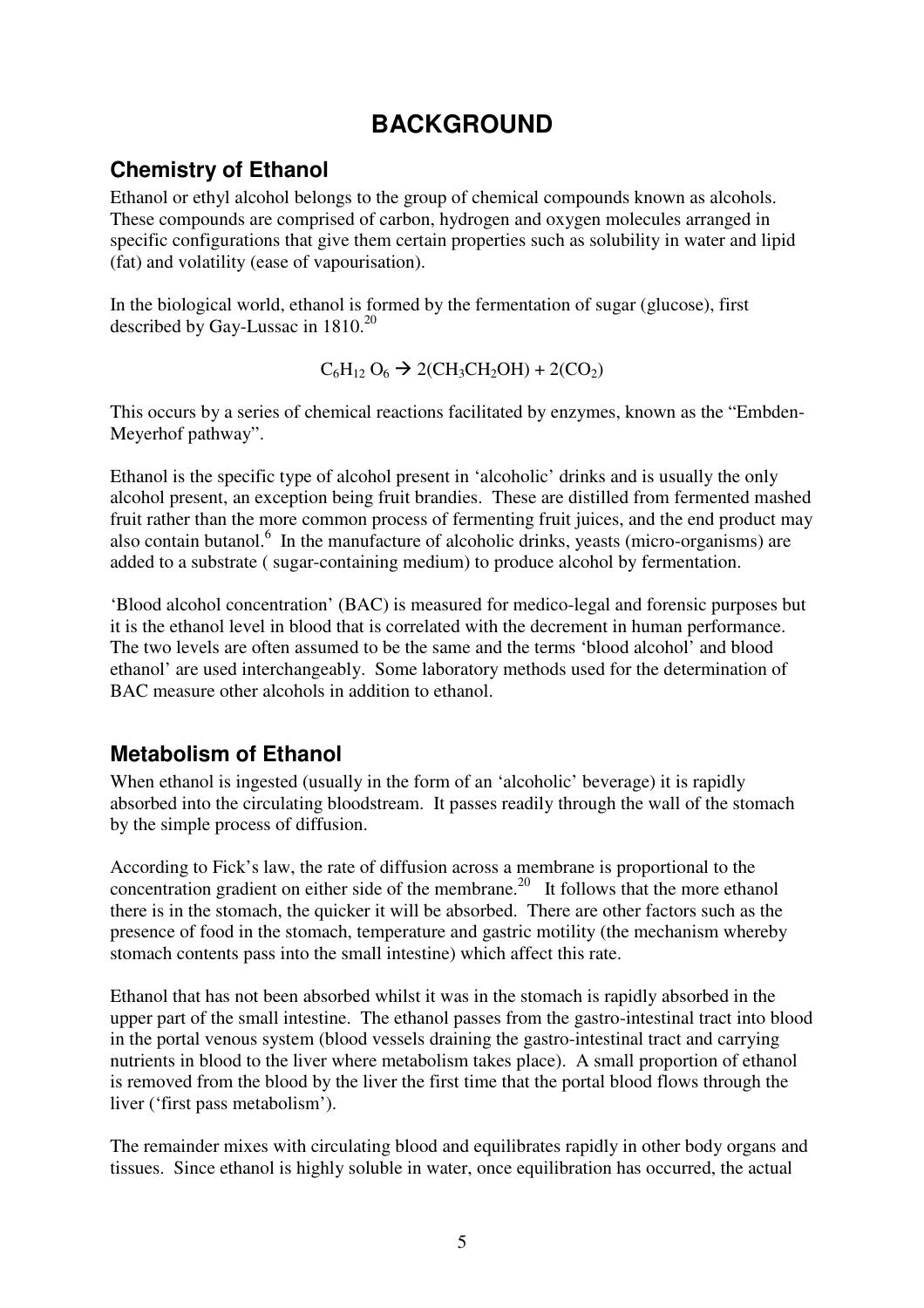# **BACKGROUND**

### **Chemistry of Ethanol**

Ethanol or ethyl alcohol belongs to the group of chemical compounds known as alcohols. These compounds are comprised of carbon, hydrogen and oxygen molecules arranged in specific configurations that give them certain properties such as solubility in water and lipid (fat) and volatility (ease of vapourisation).

In the biological world, ethanol is formed by the fermentation of sugar (glucose), first described by Gay-Lussac in 1810.<sup>20</sup>

$$
C_6H_{12}O_6 \rightarrow 2(CH_3CH_2OH) + 2(CO_2)
$$

This occurs by a series of chemical reactions facilitated by enzymes, known as the "Embden-Meyerhof pathway".

Ethanol is the specific type of alcohol present in 'alcoholic' drinks and is usually the only alcohol present, an exception being fruit brandies. These are distilled from fermented mashed fruit rather than the more common process of fermenting fruit juices, and the end product may also contain butanol.<sup>6</sup> In the manufacture of alcoholic drinks, yeasts (micro-organisms) are added to a substrate ( sugar-containing medium) to produce alcohol by fermentation.

'Blood alcohol concentration' (BAC) is measured for medico-legal and forensic purposes but it is the ethanol level in blood that is correlated with the decrement in human performance. The two levels are often assumed to be the same and the terms 'blood alcohol' and blood ethanol' are used interchangeably. Some laboratory methods used for the determination of BAC measure other alcohols in addition to ethanol.

### **Metabolism of Ethanol**

When ethanol is ingested (usually in the form of an 'alcoholic' beverage) it is rapidly absorbed into the circulating bloodstream. It passes readily through the wall of the stomach by the simple process of diffusion.

According to Fick's law, the rate of diffusion across a membrane is proportional to the concentration gradient on either side of the membrane.<sup>20</sup> It follows that the more ethanol there is in the stomach, the quicker it will be absorbed. There are other factors such as the presence of food in the stomach, temperature and gastric motility (the mechanism whereby stomach contents pass into the small intestine) which affect this rate.

Ethanol that has not been absorbed whilst it was in the stomach is rapidly absorbed in the upper part of the small intestine. The ethanol passes from the gastro-intestinal tract into blood in the portal venous system (blood vessels draining the gastro-intestinal tract and carrying nutrients in blood to the liver where metabolism takes place). A small proportion of ethanol is removed from the blood by the liver the first time that the portal blood flows through the liver ('first pass metabolism').

The remainder mixes with circulating blood and equilibrates rapidly in other body organs and tissues. Since ethanol is highly soluble in water, once equilibration has occurred, the actual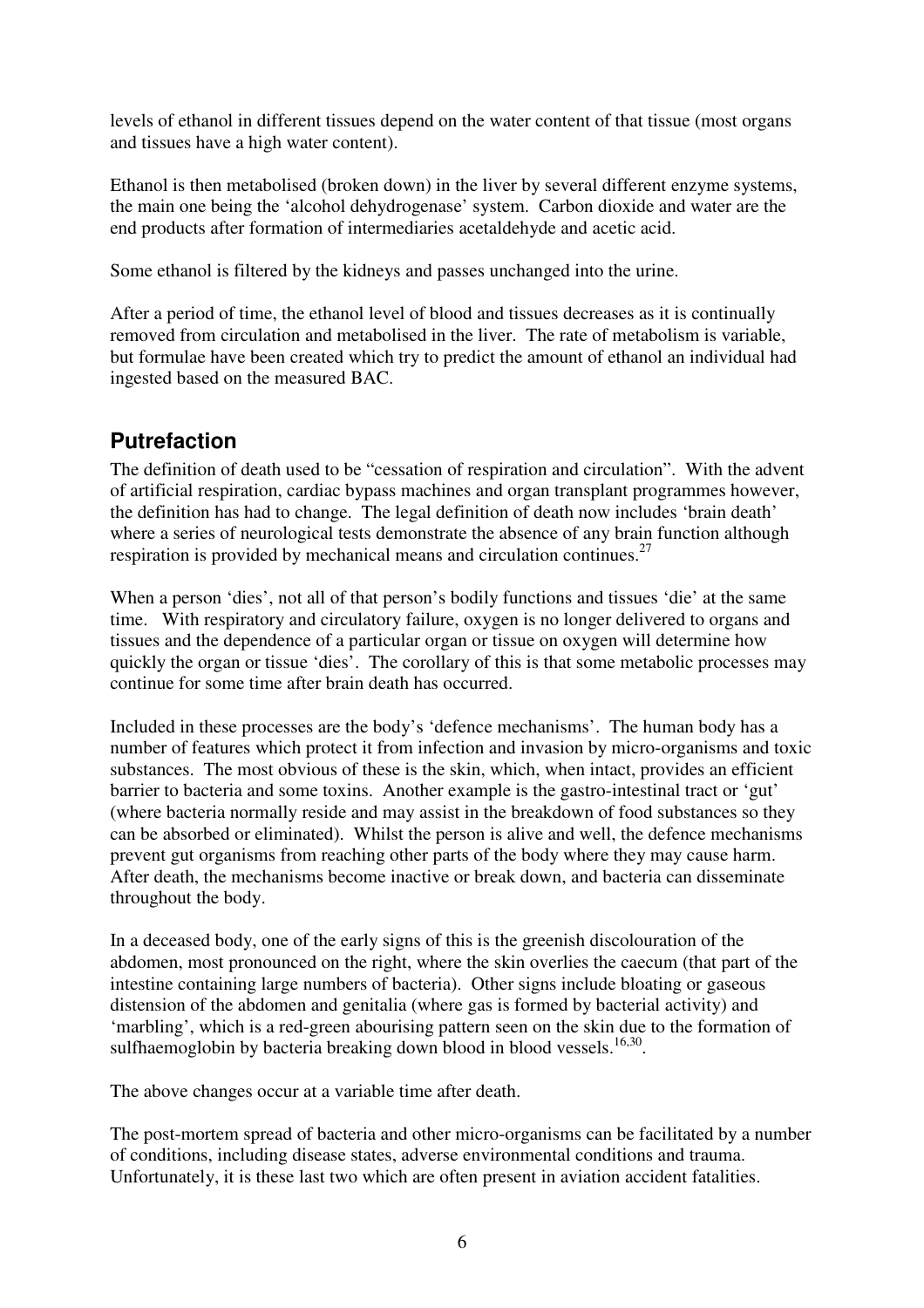levels of ethanol in different tissues depend on the water content of that tissue (most organs and tissues have a high water content).

Ethanol is then metabolised (broken down) in the liver by several different enzyme systems, the main one being the 'alcohol dehydrogenase' system. Carbon dioxide and water are the end products after formation of intermediaries acetaldehyde and acetic acid.

Some ethanol is filtered by the kidneys and passes unchanged into the urine.

After a period of time, the ethanol level of blood and tissues decreases as it is continually removed from circulation and metabolised in the liver. The rate of metabolism is variable, but formulae have been created which try to predict the amount of ethanol an individual had ingested based on the measured BAC.

### **Putrefaction**

The definition of death used to be "cessation of respiration and circulation". With the advent of artificial respiration, cardiac bypass machines and organ transplant programmes however, the definition has had to change. The legal definition of death now includes 'brain death' where a series of neurological tests demonstrate the absence of any brain function although respiration is provided by mechanical means and circulation continues.<sup>27</sup>

When a person 'dies', not all of that person's bodily functions and tissues 'die' at the same time. With respiratory and circulatory failure, oxygen is no longer delivered to organs and tissues and the dependence of a particular organ or tissue on oxygen will determine how quickly the organ or tissue 'dies'. The corollary of this is that some metabolic processes may continue for some time after brain death has occurred.

Included in these processes are the body's 'defence mechanisms'. The human body has a number of features which protect it from infection and invasion by micro-organisms and toxic substances. The most obvious of these is the skin, which, when intact, provides an efficient barrier to bacteria and some toxins. Another example is the gastro-intestinal tract or 'gut' (where bacteria normally reside and may assist in the breakdown of food substances so they can be absorbed or eliminated). Whilst the person is alive and well, the defence mechanisms prevent gut organisms from reaching other parts of the body where they may cause harm. After death, the mechanisms become inactive or break down, and bacteria can disseminate throughout the body.

In a deceased body, one of the early signs of this is the greenish discolouration of the abdomen, most pronounced on the right, where the skin overlies the caecum (that part of the intestine containing large numbers of bacteria). Other signs include bloating or gaseous distension of the abdomen and genitalia (where gas is formed by bacterial activity) and 'marbling', which is a red-green abourising pattern seen on the skin due to the formation of sulfhaemoglobin by bacteria breaking down blood in blood vessels.<sup>16,30</sup>.

The above changes occur at a variable time after death.

The post-mortem spread of bacteria and other micro-organisms can be facilitated by a number of conditions, including disease states, adverse environmental conditions and trauma. Unfortunately, it is these last two which are often present in aviation accident fatalities.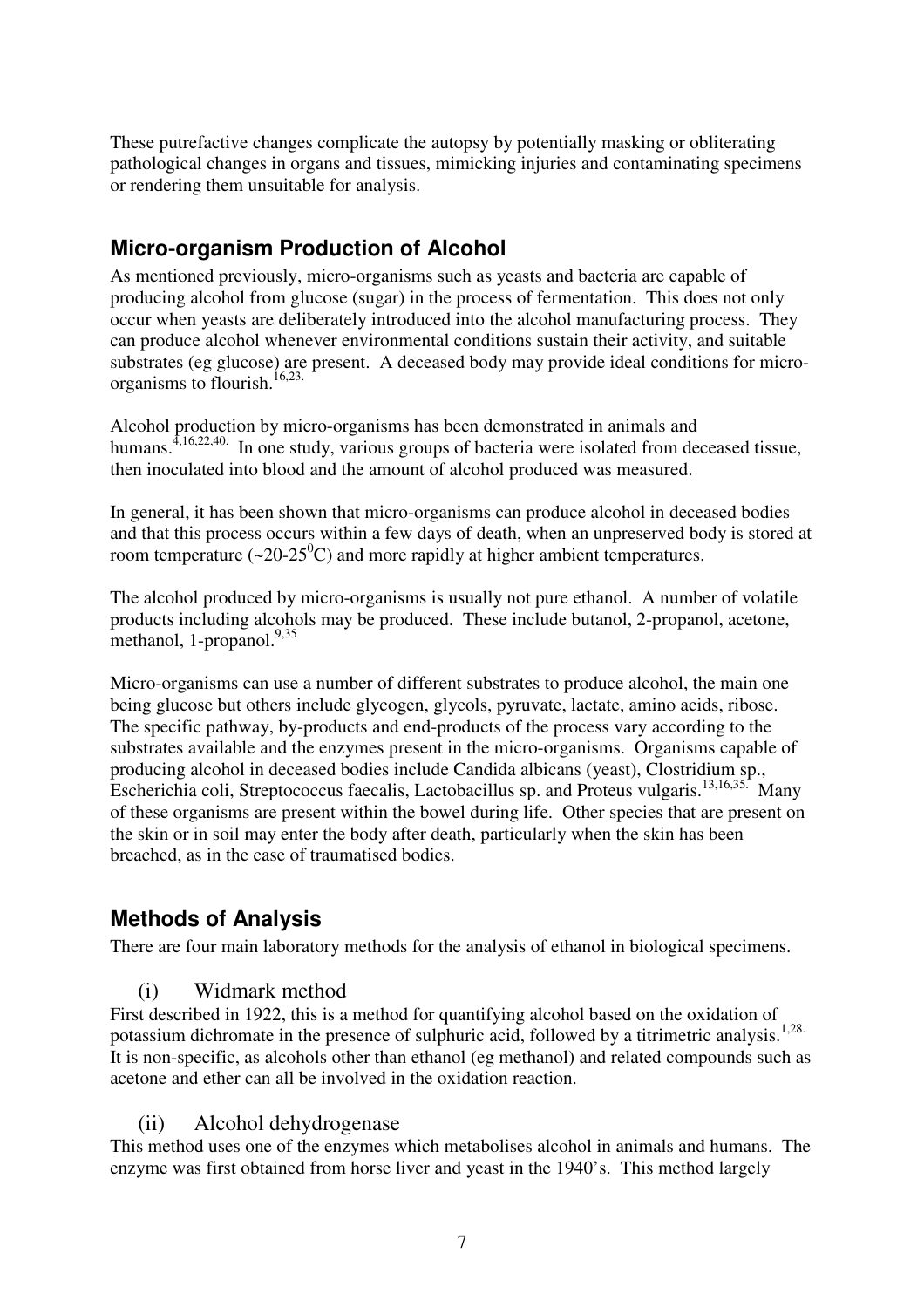These putrefactive changes complicate the autopsy by potentially masking or obliterating pathological changes in organs and tissues, mimicking injuries and contaminating specimens or rendering them unsuitable for analysis.

### **Micro-organism Production of Alcohol**

As mentioned previously, micro-organisms such as yeasts and bacteria are capable of producing alcohol from glucose (sugar) in the process of fermentation. This does not only occur when yeasts are deliberately introduced into the alcohol manufacturing process. They can produce alcohol whenever environmental conditions sustain their activity, and suitable substrates (eg glucose) are present. A deceased body may provide ideal conditions for microorganisms to flourish. 16,23.

Alcohol production by micro-organisms has been demonstrated in animals and humans.<sup>4,16,22,40.</sup> In one study, various groups of bacteria were isolated from deceased tissue, then inoculated into blood and the amount of alcohol produced was measured.

In general, it has been shown that micro-organisms can produce alcohol in deceased bodies and that this process occurs within a few days of death, when an unpreserved body is stored at room temperature (~20-25 $\rm{^0C}$ ) and more rapidly at higher ambient temperatures.

The alcohol produced by micro-organisms is usually not pure ethanol. A number of volatile products including alcohols may be produced. These include butanol, 2-propanol, acetone, methanol, 1-propanol.<sup>9,35</sup>

Micro-organisms can use a number of different substrates to produce alcohol, the main one being glucose but others include glycogen, glycols, pyruvate, lactate, amino acids, ribose. The specific pathway, by-products and end-products of the process vary according to the substrates available and the enzymes present in the micro-organisms. Organisms capable of producing alcohol in deceased bodies include Candida albicans (yeast), Clostridium sp., Escherichia coli, Streptococcus faecalis, Lactobacillus sp. and Proteus vulgaris. 13,16,35. Many of these organisms are present within the bowel during life. Other species that are present on the skin or in soil may enter the body after death, particularly when the skin has been breached, as in the case of traumatised bodies.

# **Methods of Analysis**

There are four main laboratory methods for the analysis of ethanol in biological specimens.

#### (i) Widmark method

First described in 1922, this is a method for quantifying alcohol based on the oxidation of potassium dichromate in the presence of sulphuric acid, followed by a titrimetric analysis.<sup>1,28.</sup> It is non-specific, as alcohols other than ethanol (eg methanol) and related compounds such as acetone and ether can all be involved in the oxidation reaction.

#### (ii) Alcohol dehydrogenase

This method uses one of the enzymes which metabolises alcohol in animals and humans. The enzyme was first obtained from horse liver and yeast in the 1940's. This method largely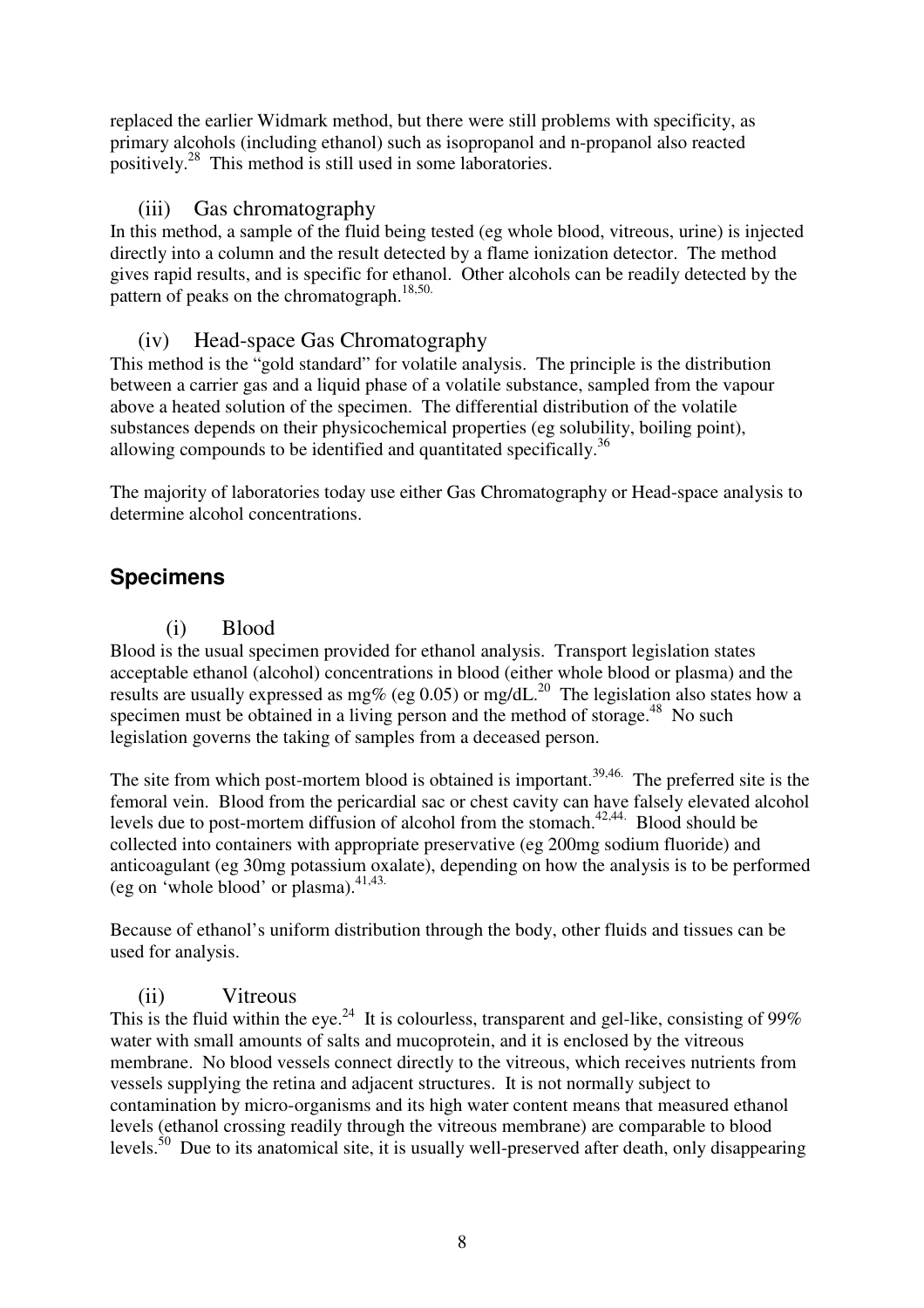replaced the earlier Widmark method, but there were still problems with specificity, as primary alcohols (including ethanol) such as isopropanol and n-propanol also reacted positively.<sup>28</sup> This method is still used in some laboratories.

#### (iii) Gas chromatography

In this method, a sample of the fluid being tested (eg whole blood, vitreous, urine) is injected directly into a column and the result detected by a flame ionization detector. The method gives rapid results, and is specific for ethanol. Other alcohols can be readily detected by the pattern of peaks on the chromatograph.<sup>18,50.</sup>

#### (iv) Head-space Gas Chromatography

This method is the "gold standard" for volatile analysis. The principle is the distribution between a carrier gas and a liquid phase of a volatile substance, sampled from the vapour above a heated solution of the specimen. The differential distribution of the volatile substances depends on their physicochemical properties (eg solubility, boiling point), allowing compounds to be identified and quantitated specifically.<sup>36</sup>

The majority of laboratories today use either Gas Chromatography or Head-space analysis to determine alcohol concentrations.

#### **Specimens**

#### (i) Blood

Blood is the usual specimen provided for ethanol analysis. Transport legislation states acceptable ethanol (alcohol) concentrations in blood (either whole blood or plasma) and the results are usually expressed as mg% (eg 0.05) or mg/dL.<sup>20</sup> The legislation also states how a specimen must be obtained in a living person and the method of storage.<sup>48</sup> No such legislation governs the taking of samples from a deceased person.

The site from which post-mortem blood is obtained is important.<sup>39,46</sup> The preferred site is the femoral vein. Blood from the pericardial sac or chest cavity can have falsely elevated alcohol levels due to post-mortem diffusion of alcohol from the stomach.<sup>42,44</sup> Blood should be collected into containers with appropriate preservative (eg 200mg sodium fluoride) and anticoagulant (eg 30mg potassium oxalate), depending on how the analysis is to be performed (eg on 'whole blood' or plasma). 41,43.

Because of ethanol's uniform distribution through the body, other fluids and tissues can be used for analysis.

#### (ii) Vitreous

This is the fluid within the eye.<sup>24</sup> It is colourless, transparent and gel-like, consisting of 99% water with small amounts of salts and mucoprotein, and it is enclosed by the vitreous membrane. No blood vessels connect directly to the vitreous, which receives nutrients from vessels supplying the retina and adjacent structures. It is not normally subject to contamination by micro-organisms and its high water content means that measured ethanol levels (ethanol crossing readily through the vitreous membrane) are comparable to blood levels.<sup>50</sup> Due to its anatomical site, it is usually well-preserved after death, only disappearing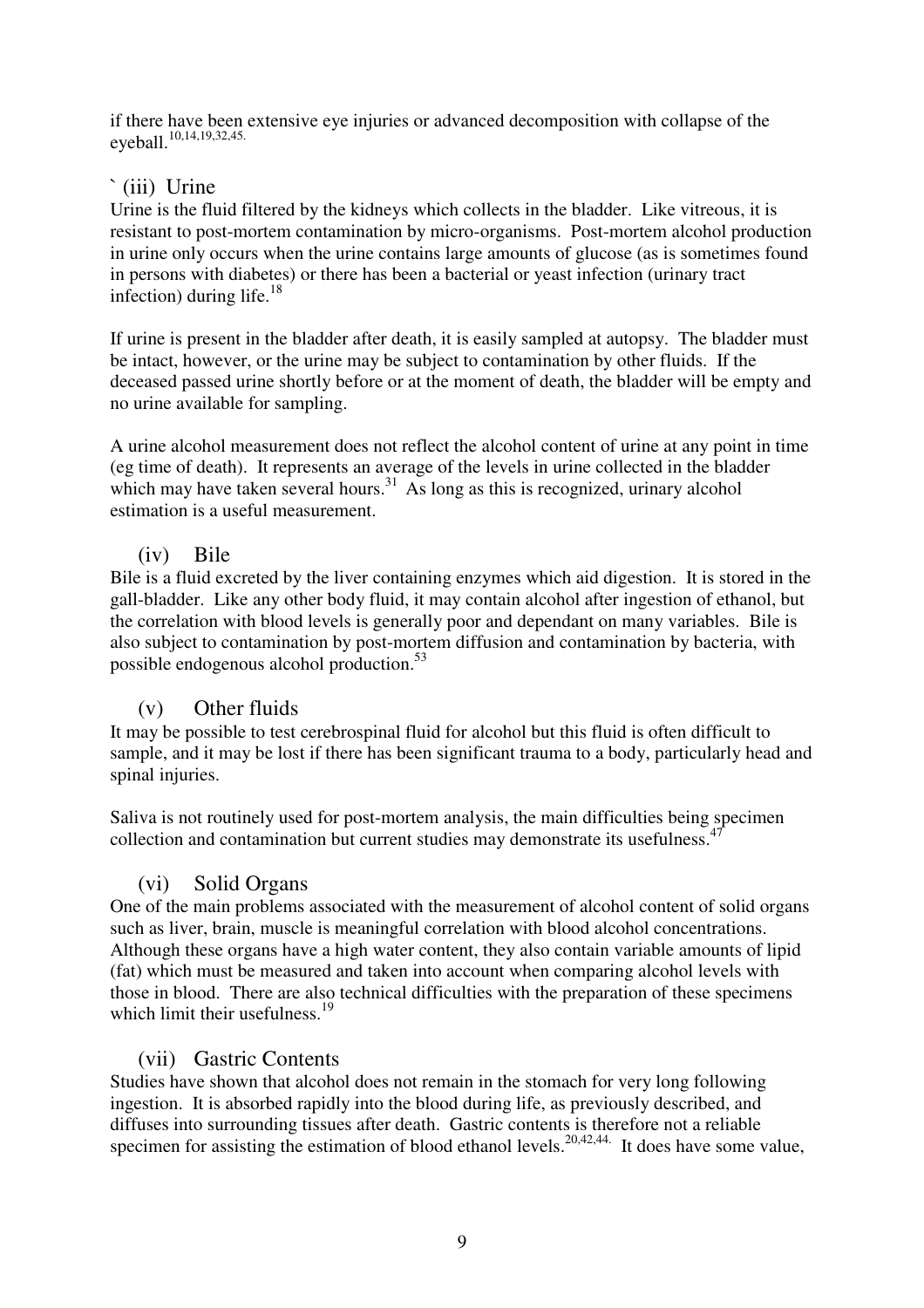if there have been extensive eye injuries or advanced decomposition with collapse of the eyeball. 10,14,19,32,45.

#### `(iii) Urine

Urine is the fluid filtered by the kidneys which collects in the bladder. Like vitreous, it is resistant to post-mortem contamination by micro-organisms. Post-mortem alcohol production in urine only occurs when the urine contains large amounts of glucose (as is sometimes found in persons with diabetes) or there has been a bacterial or yeast infection (urinary tract infection) during life. 18

If urine is present in the bladder after death, it is easily sampled at autopsy. The bladder must be intact, however, or the urine may be subject to contamination by other fluids. If the deceased passed urine shortly before or at the moment of death, the bladder will be empty and no urine available for sampling.

A urine alcohol measurement does not reflect the alcohol content of urine at any point in time (eg time of death). It represents an average of the levels in urine collected in the bladder which may have taken several hours. $31$  As long as this is recognized, urinary alcohol estimation is a useful measurement.

#### (iv) Bile

Bile is a fluid excreted by the liver containing enzymes which aid digestion. It is stored in the gall-bladder. Like any other body fluid, it may contain alcohol after ingestion of ethanol, but the correlation with blood levels is generally poor and dependant on many variables. Bile is also subject to contamination by post-mortem diffusion and contamination by bacteria, with possible endogenous alcohol production.<sup>53</sup>

#### (v) Other fluids

It may be possible to test cerebrospinal fluid for alcohol but this fluid is often difficult to sample, and it may be lost if there has been significant trauma to a body, particularly head and spinal injuries.

Saliva is not routinely used for post-mortem analysis, the main difficulties being specimen collection and contamination but current studies may demonstrate its usefulness.<sup>47</sup>

#### (vi) Solid Organs

One of the main problems associated with the measurement of alcohol content of solid organs such as liver, brain, muscle is meaningful correlation with blood alcohol concentrations. Although these organs have a high water content, they also contain variable amounts of lipid (fat) which must be measured and taken into account when comparing alcohol levels with those in blood. There are also technical difficulties with the preparation of these specimens which limit their usefulness.<sup>19</sup>

#### (vii) Gastric Contents

Studies have shown that alcohol does not remain in the stomach for very long following ingestion. It is absorbed rapidly into the blood during life, as previously described, and diffuses into surrounding tissues after death. Gastric contents is therefore not a reliable specimen for assisting the estimation of blood ethanol levels.<sup>20,42,44.</sup> It does have some value,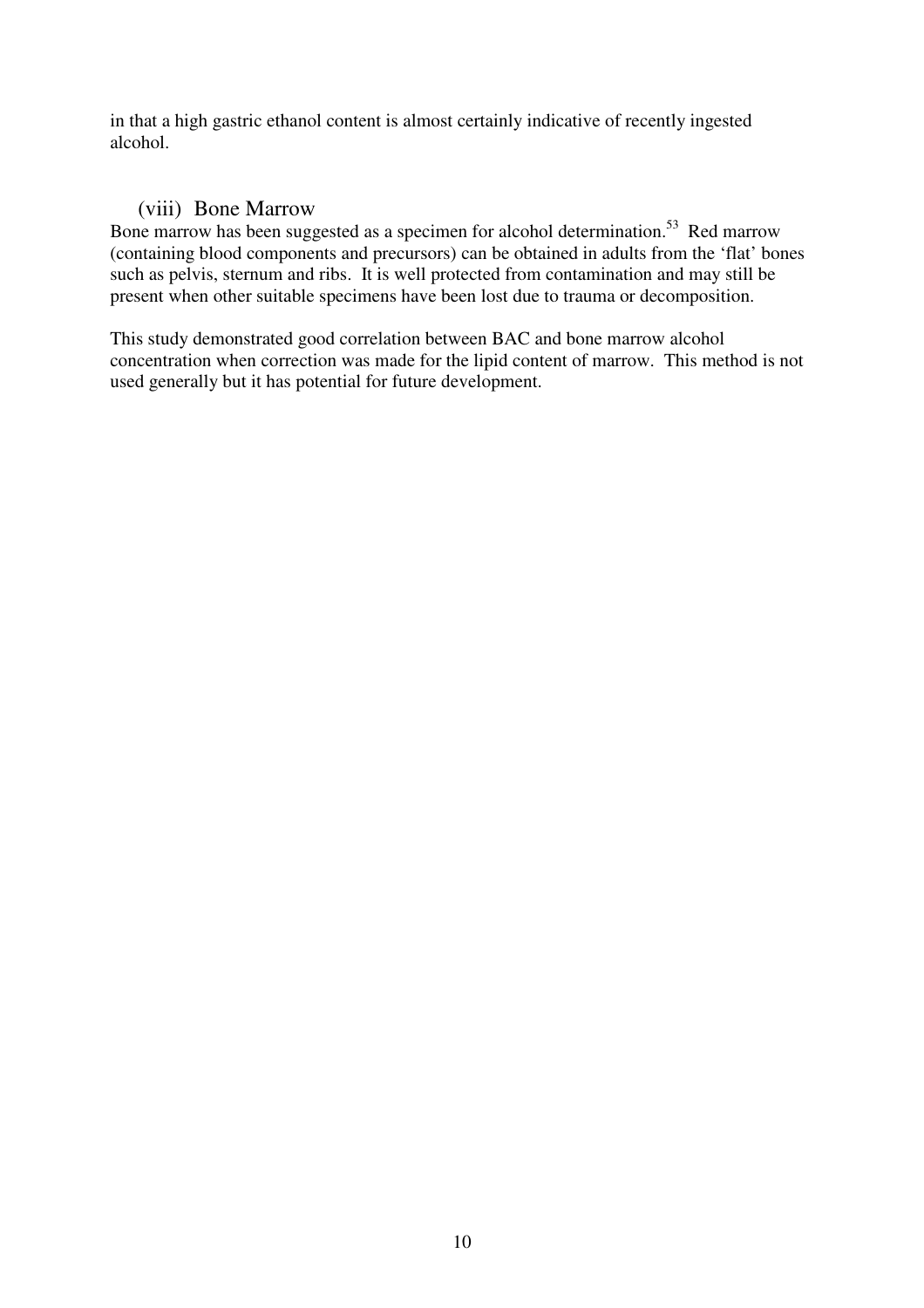in that a high gastric ethanol content is almost certainly indicative of recently ingested alcohol.

#### (viii) Bone Marrow

Bone marrow has been suggested as a specimen for alcohol determination.<sup>53</sup> Red marrow (containing blood components and precursors) can be obtained in adults from the 'flat' bones such as pelvis, sternum and ribs. It is well protected from contamination and may still be present when other suitable specimens have been lost due to trauma or decomposition.

This study demonstrated good correlation between BAC and bone marrow alcohol concentration when correction was made for the lipid content of marrow. This method is not used generally but it has potential for future development.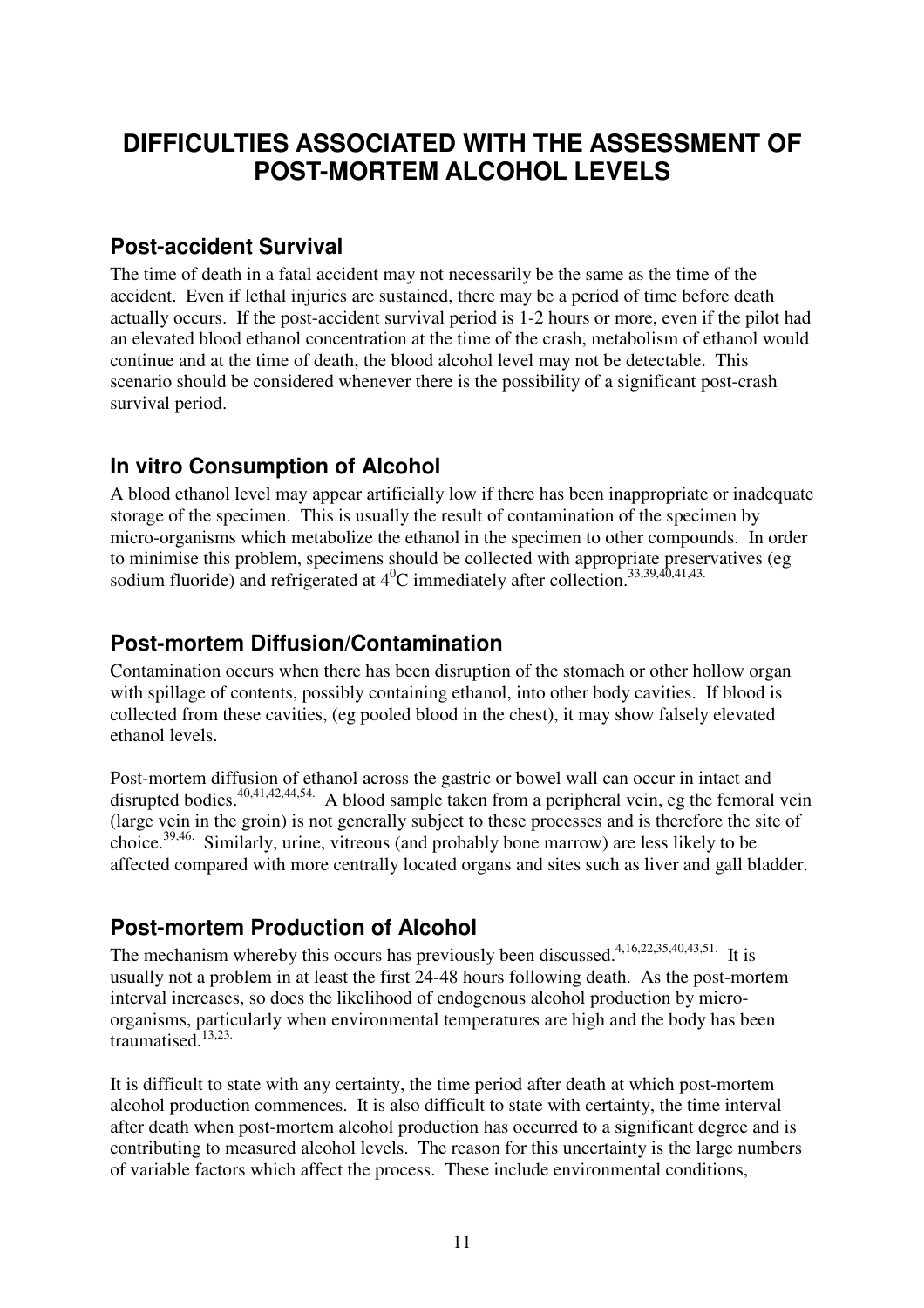# **DIFFICULTIES ASSOCIATED WITH THE ASSESSMENT OF POST-MORTEM ALCOHOL LEVELS**

### **Post-accident Survival**

The time of death in a fatal accident may not necessarily be the same as the time of the accident. Even if lethal injuries are sustained, there may be a period of time before death actually occurs. If the post-accident survival period is 1-2 hours or more, even if the pilot had an elevated blood ethanol concentration at the time of the crash, metabolism of ethanol would continue and at the time of death, the blood alcohol level may not be detectable. This scenario should be considered whenever there is the possibility of a significant post-crash survival period.

# **In vitro Consumption of Alcohol**

A blood ethanol level may appear artificially low if there has been inappropriate or inadequate storage of the specimen. This is usually the result of contamination of the specimen by micro-organisms which metabolize the ethanol in the specimen to other compounds. In order to minimise this problem, specimens should be collected with appropriate preservatives (eg sodium fluoride) and refrigerated at  $4^0C$  immediately after collection.  $33,39,40,41,43$ .

# **Post-mortem Diffusion/Contamination**

Contamination occurs when there has been disruption of the stomach or other hollow organ with spillage of contents, possibly containing ethanol, into other body cavities. If blood is collected from these cavities, (eg pooled blood in the chest), it may show falsely elevated ethanol levels.

Post-mortem diffusion of ethanol across the gastric or bowel wall can occur in intact and disrupted bodies.<sup>40,41,42,44,54.</sup> A blood sample taken from a peripheral vein, eg the femoral vein (large vein in the groin) is not generally subject to these processes and is therefore the site of choice. 39,46. Similarly, urine, vitreous (and probably bone marrow) are less likely to be affected compared with more centrally located organs and sites such as liver and gall bladder.

# **Post-mortem Production of Alcohol**

The mechanism whereby this occurs has previously been discussed.<sup>4,16,22,35,40,43,51.</sup> It is usually not a problem in at least the first 24-48 hours following death. As the post-mortem interval increases, so does the likelihood of endogenous alcohol production by microorganisms, particularly when environmental temperatures are high and the body has been traumatised. 13,23.

It is difficult to state with any certainty, the time period after death at which post-mortem alcohol production commences. It is also difficult to state with certainty, the time interval after death when post-mortem alcohol production has occurred to a significant degree and is contributing to measured alcohol levels. The reason for this uncertainty is the large numbers of variable factors which affect the process. These include environmental conditions,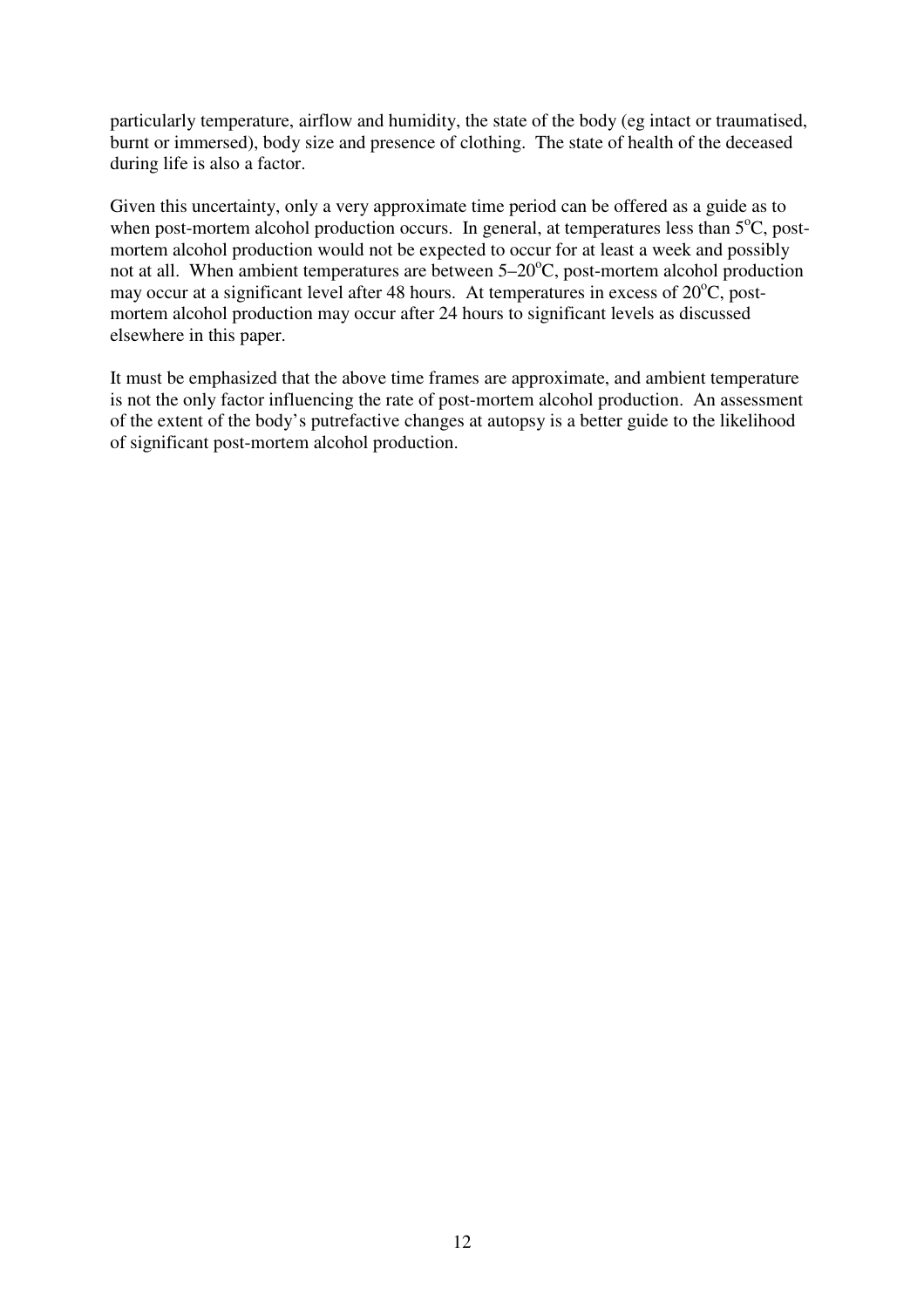particularly temperature, airflow and humidity, the state of the body (eg intact or traumatised, burnt or immersed), body size and presence of clothing. The state of health of the deceased during life is also a factor.

Given this uncertainty, only a very approximate time period can be offered as a guide as to when post-mortem alcohol production occurs. In general, at temperatures less than 5°C, postmortem alcohol production would not be expected to occur for at least a week and possibly not at all. When ambient temperatures are between 5–20°C, post-mortem alcohol production may occur at a significant level after 48 hours. At temperatures in excess of  $20^{\circ}$ C, postmortem alcohol production may occur after 24 hours to significant levels as discussed elsewhere in this paper.

It must be emphasized that the above time frames are approximate, and ambient temperature is not the only factor influencing the rate of post-mortem alcohol production. An assessment of the extent of the body's putrefactive changes at autopsy is a better guide to the likelihood of significant post-mortem alcohol production.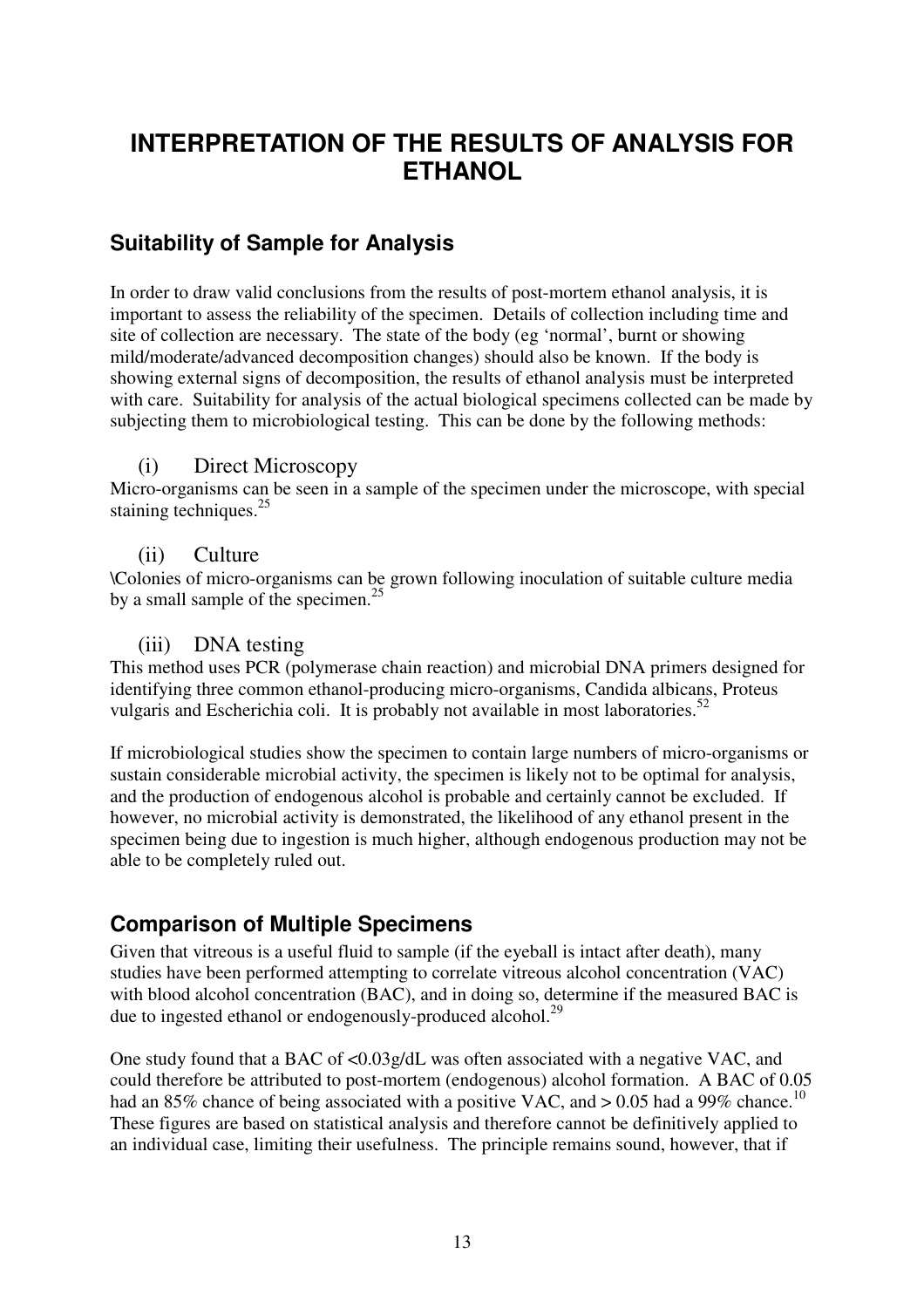# **INTERPRETATION OF THE RESULTS OF ANALYSIS FOR ETHANOL**

### **Suitability of Sample for Analysis**

In order to draw valid conclusions from the results of post-mortem ethanol analysis, it is important to assess the reliability of the specimen. Details of collection including time and site of collection are necessary. The state of the body (eg 'normal', burnt or showing mild/moderate/advanced decomposition changes) should also be known. If the body is showing external signs of decomposition, the results of ethanol analysis must be interpreted with care. Suitability for analysis of the actual biological specimens collected can be made by subjecting them to microbiological testing. This can be done by the following methods:

#### (i) Direct Microscopy

Micro-organisms can be seen in a sample of the specimen under the microscope, with special staining techniques.<sup>25</sup>

#### (ii) Culture

\Colonies of micro-organisms can be grown following inoculation of suitable culture media by a small sample of the specimen.<sup>25</sup>

#### (iii) DNA testing

This method uses PCR (polymerase chain reaction) and microbial DNA primers designed for identifying three common ethanol-producing micro-organisms, Candida albicans, Proteus vulgaris and Escherichia coli. It is probably not available in most laboratories.<sup>52</sup>

If microbiological studies show the specimen to contain large numbers of micro-organisms or sustain considerable microbial activity, the specimen is likely not to be optimal for analysis, and the production of endogenous alcohol is probable and certainly cannot be excluded. If however, no microbial activity is demonstrated, the likelihood of any ethanol present in the specimen being due to ingestion is much higher, although endogenous production may not be able to be completely ruled out.

# **Comparison of Multiple Specimens**

Given that vitreous is a useful fluid to sample (if the eyeball is intact after death), many studies have been performed attempting to correlate vitreous alcohol concentration (VAC) with blood alcohol concentration (BAC), and in doing so, determine if the measured BAC is due to ingested ethanol or endogenously-produced alcohol.<sup>29</sup>

One study found that a BAC of <0.03g/dL was often associated with a negative VAC, and could therefore be attributed to post-mortem (endogenous) alcohol formation. A BAC of 0.05 had an 85% chance of being associated with a positive VAC, and  $> 0.05$  had a 99% chance.<sup>10</sup> These figures are based on statistical analysis and therefore cannot be definitively applied to an individual case, limiting their usefulness. The principle remains sound, however, that if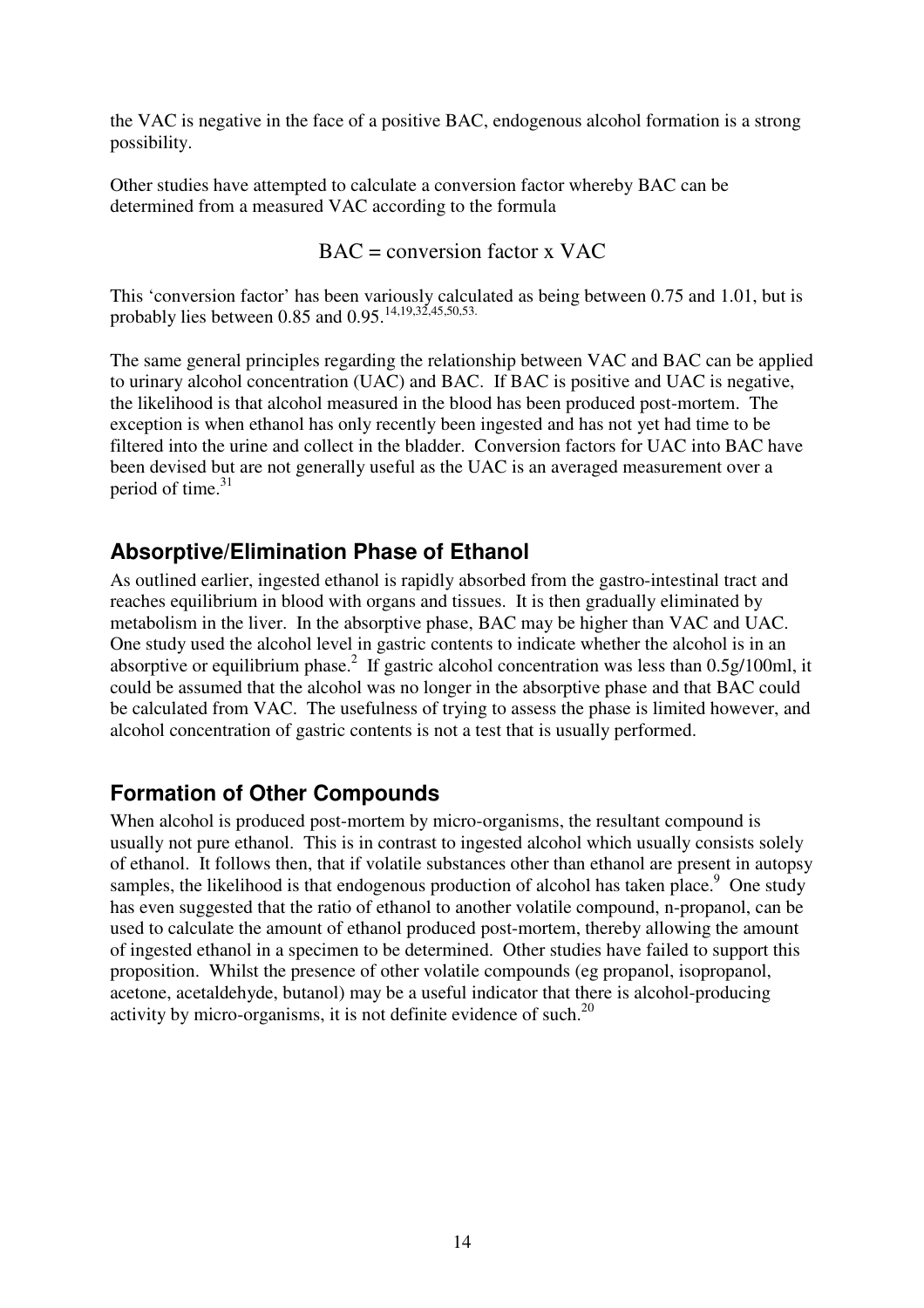the VAC is negative in the face of a positive BAC, endogenous alcohol formation is a strong possibility.

Other studies have attempted to calculate a conversion factor whereby BAC can be determined from a measured VAC according to the formula

$$
BAC = conversion factor x VAC
$$

This 'conversion factor' has been variously calculated as being between 0.75 and 1.01, but is probably lies between 0.85 and  $0.95$ .<sup>14,19,32,45,50,53.</sup>

The same general principles regarding the relationship between VAC and BAC can be applied to urinary alcohol concentration (UAC) and BAC. If BAC is positive and UAC is negative, the likelihood is that alcohol measured in the blood has been produced post-mortem. The exception is when ethanol has only recently been ingested and has not yet had time to be filtered into the urine and collect in the bladder. Conversion factors for UAC into BAC have been devised but are not generally useful as the UAC is an averaged measurement over a period of time. 31

### **Absorptive/Elimination Phase of Ethanol**

As outlined earlier, ingested ethanol is rapidly absorbed from the gastro-intestinal tract and reaches equilibrium in blood with organs and tissues. It is then gradually eliminated by metabolism in the liver. In the absorptive phase, BAC may be higher than VAC and UAC. One study used the alcohol level in gastric contents to indicate whether the alcohol is in an absorptive or equilibrium phase.<sup>2</sup> If gastric alcohol concentration was less than  $0.5g/100ml$ , it could be assumed that the alcohol was no longer in the absorptive phase and that BAC could be calculated from VAC. The usefulness of trying to assess the phase is limited however, and alcohol concentration of gastric contents is not a test that is usually performed.

### **Formation of Other Compounds**

When alcohol is produced post-mortem by micro-organisms, the resultant compound is usually not pure ethanol. This is in contrast to ingested alcohol which usually consists solely of ethanol. It follows then, that if volatile substances other than ethanol are present in autopsy samples, the likelihood is that endogenous production of alcohol has taken place.<sup>9</sup> One study has even suggested that the ratio of ethanol to another volatile compound, n-propanol, can be used to calculate the amount of ethanol produced post-mortem, thereby allowing the amount of ingested ethanol in a specimen to be determined. Other studies have failed to support this proposition. Whilst the presence of other volatile compounds (eg propanol, isopropanol, acetone, acetaldehyde, butanol) may be a useful indicator that there is alcohol-producing activity by micro-organisms, it is not definite evidence of such. $^{20}$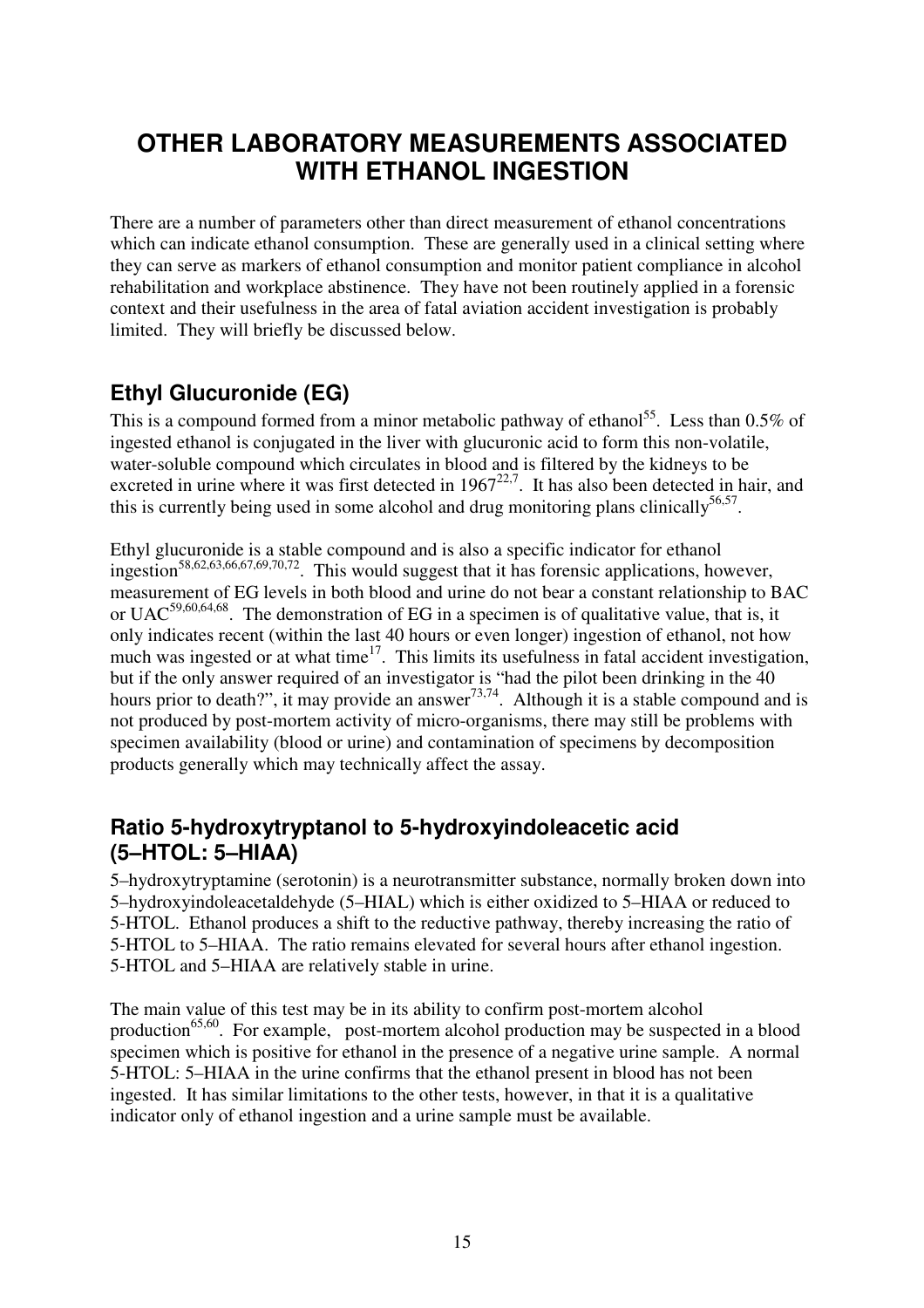# **OTHER LABORATORY MEASUREMENTS ASSOCIATED WITH ETHANOL INGESTION**

There are a number of parameters other than direct measurement of ethanol concentrations which can indicate ethanol consumption. These are generally used in a clinical setting where they can serve as markers of ethanol consumption and monitor patient compliance in alcohol rehabilitation and workplace abstinence. They have not been routinely applied in a forensic context and their usefulness in the area of fatal aviation accident investigation is probably limited. They will briefly be discussed below.

# **Ethyl Glucuronide (EG)**

This is a compound formed from a minor metabolic pathway of ethanol<sup>55</sup>. Less than 0.5% of ingested ethanol is conjugated in the liver with glucuronic acid to form this non-volatile, water-soluble compound which circulates in blood and is filtered by the kidneys to be excreted in urine where it was first detected in  $1967^{22,7}$ . It has also been detected in hair, and this is currently being used in some alcohol and drug monitoring plans clinically  $56,57$ .

Ethyl glucuronide is a stable compound and is also a specific indicator for ethanol ingestion 58,62,63,66,67,69,70,72 . This would suggest that it has forensic applications, however, measurement of EG levels in both blood and urine do not bear a constant relationship to BAC or UAC<sup>59,60,64,68</sup>. The demonstration of EG in a specimen is of qualitative value, that is, it only indicates recent (within the last 40 hours or even longer) ingestion of ethanol, not how much was ingested or at what time<sup>17</sup>. This limits its usefulness in fatal accident investigation, but if the only answer required of an investigator is "had the pilot been drinking in the 40 hours prior to death?", it may provide an answer<sup>73,74</sup>. Although it is a stable compound and is not produced by post-mortem activity of micro-organisms, there may still be problems with specimen availability (blood or urine) and contamination of specimens by decomposition products generally which may technically affect the assay.

### **Ratio 5-hydroxytryptanol to 5-hydroxyindoleacetic acid (5–HTOL: 5–HIAA)**

5–hydroxytryptamine (serotonin) is a neurotransmitter substance, normally broken down into 5–hydroxyindoleacetaldehyde (5–HIAL) which is either oxidized to 5–HIAA or reduced to 5-HTOL. Ethanol produces a shift to the reductive pathway, thereby increasing the ratio of 5-HTOL to 5–HIAA. The ratio remains elevated for several hours after ethanol ingestion. 5-HTOL and 5–HIAA are relatively stable in urine.

The main value of this test may be in its ability to confirm post-mortem alcohol production<sup>65,60</sup>. For example, post-mortem alcohol production may be suspected in a blood specimen which is positive for ethanol in the presence of a negative urine sample. A normal 5-HTOL: 5–HIAA in the urine confirms that the ethanol present in blood has not been ingested. It has similar limitations to the other tests, however, in that it is a qualitative indicator only of ethanol ingestion and a urine sample must be available.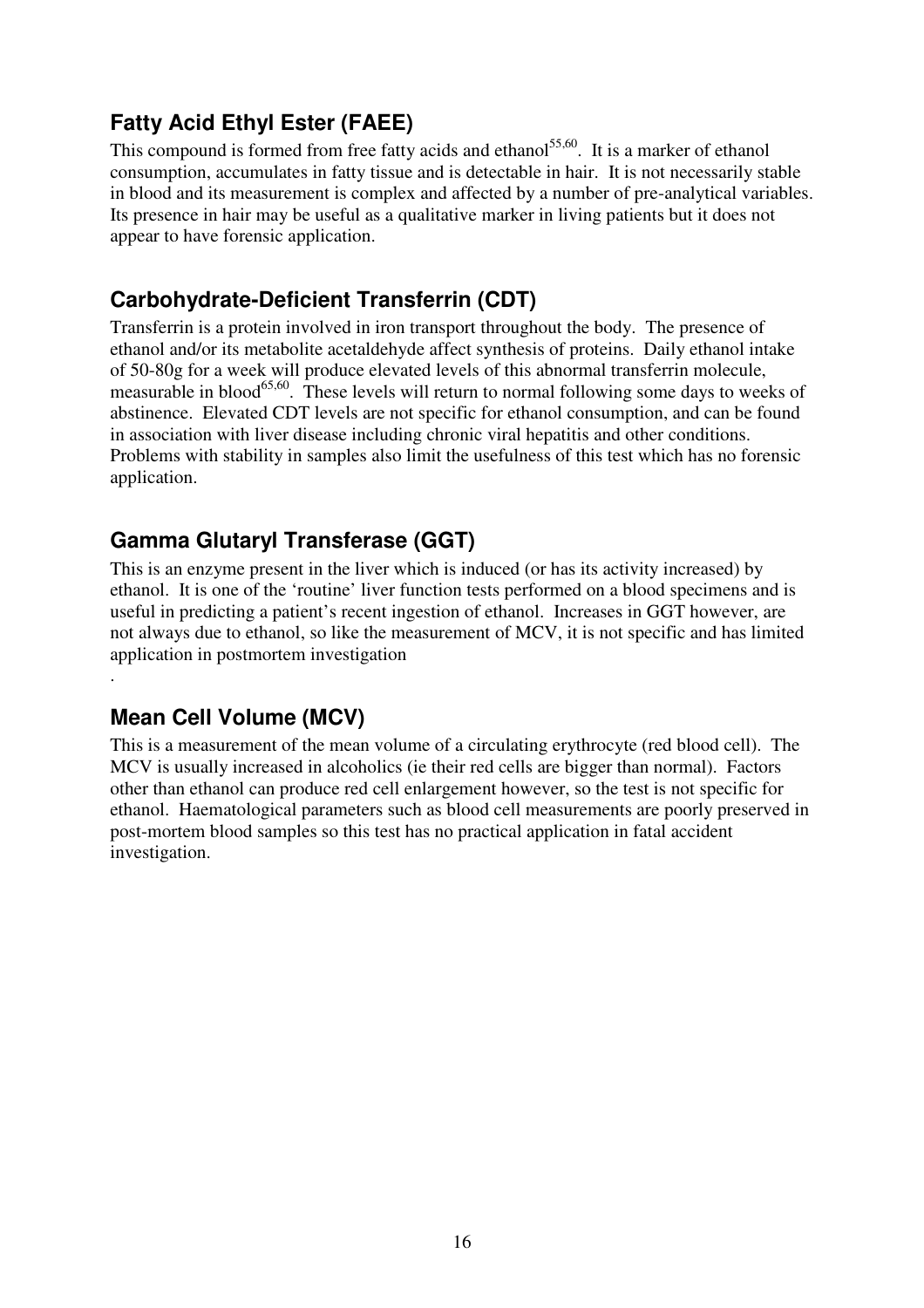# **Fatty Acid Ethyl Ester (FAEE)**

This compound is formed from free fatty acids and ethanol<sup>55,60</sup>. It is a marker of ethanol consumption, accumulates in fatty tissue and is detectable in hair. It is not necessarily stable in blood and its measurement is complex and affected by a number of pre-analytical variables. Its presence in hair may be useful as a qualitative marker in living patients but it does not appear to have forensic application.

# **Carbohydrate-Deficient Transferrin (CDT)**

Transferrin is a protein involved in iron transport throughout the body. The presence of ethanol and/or its metabolite acetaldehyde affect synthesis of proteins. Daily ethanol intake of 50-80g for a week will produce elevated levels of this abnormal transferrin molecule, measurable in blood<sup>65,60</sup>. These levels will return to normal following some days to weeks of abstinence. Elevated CDT levels are not specific for ethanol consumption, and can be found in association with liver disease including chronic viral hepatitis and other conditions. Problems with stability in samples also limit the usefulness of this test which has no forensic application.

# **Gamma Glutaryl Transferase (GGT)**

This is an enzyme present in the liver which is induced (or has its activity increased) by ethanol. It is one of the 'routine' liver function tests performed on a blood specimens and is useful in predicting a patient's recent ingestion of ethanol. Increases in GGT however, are not always due to ethanol, so like the measurement of MCV, it is not specific and has limited application in postmortem investigation

# **Mean Cell Volume (MCV)**

.

This is a measurement of the mean volume of a circulating erythrocyte (red blood cell). The MCV is usually increased in alcoholics (ie their red cells are bigger than normal). Factors other than ethanol can produce red cell enlargement however, so the test is not specific for ethanol. Haematological parameters such as blood cell measurements are poorly preserved in post-mortem blood samples so this test has no practical application in fatal accident investigation.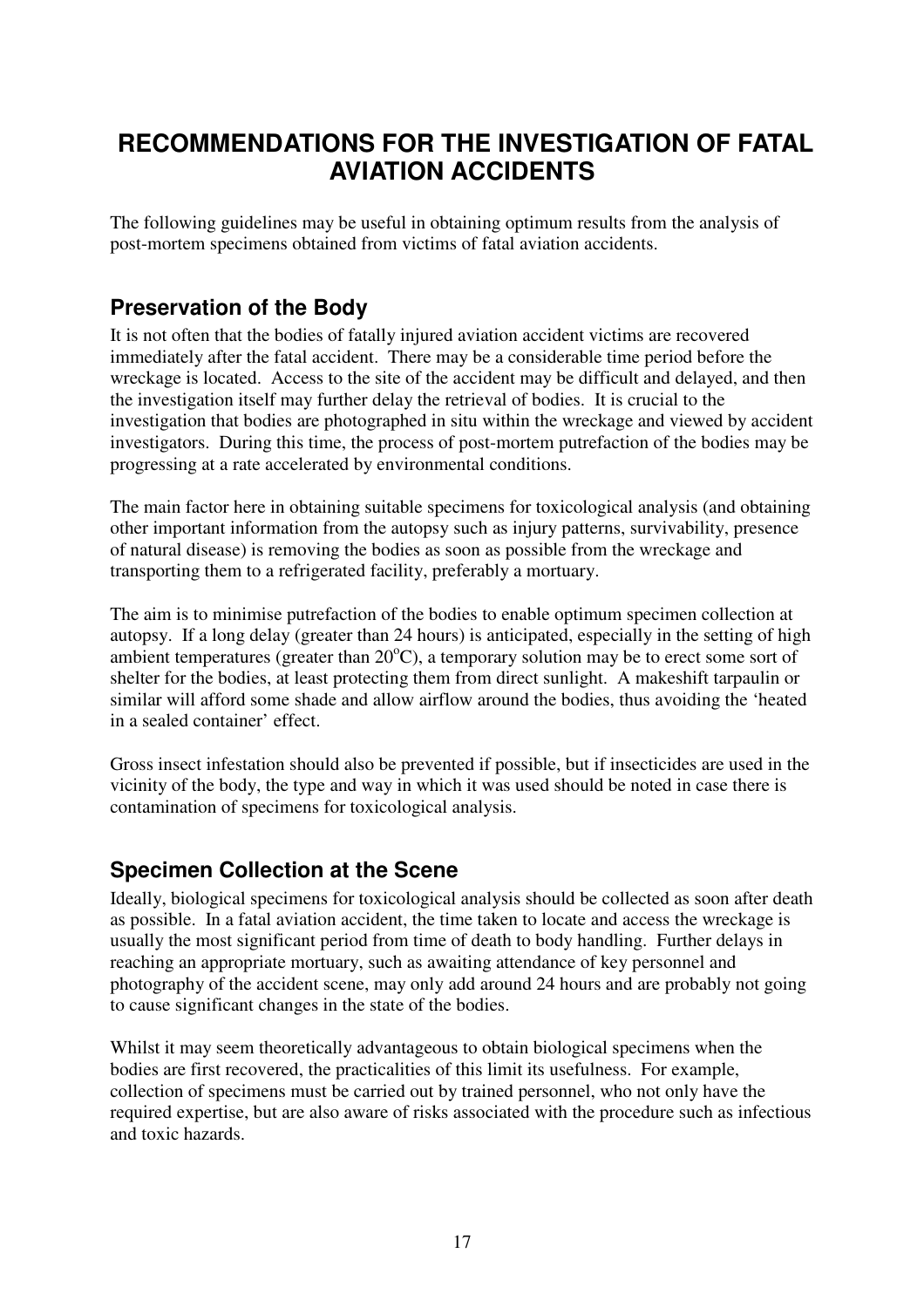# **RECOMMENDATIONS FOR THE INVESTIGATION OF FATAL AVIATION ACCIDENTS**

The following guidelines may be useful in obtaining optimum results from the analysis of post-mortem specimens obtained from victims of fatal aviation accidents.

### **Preservation of the Body**

It is not often that the bodies of fatally injured aviation accident victims are recovered immediately after the fatal accident. There may be a considerable time period before the wreckage is located. Access to the site of the accident may be difficult and delayed, and then the investigation itself may further delay the retrieval of bodies. It is crucial to the investigation that bodies are photographed in situ within the wreckage and viewed by accident investigators. During this time, the process of post-mortem putrefaction of the bodies may be progressing at a rate accelerated by environmental conditions.

The main factor here in obtaining suitable specimens for toxicological analysis (and obtaining other important information from the autopsy such as injury patterns, survivability, presence of natural disease) is removing the bodies as soon as possible from the wreckage and transporting them to a refrigerated facility, preferably a mortuary.

The aim is to minimise putrefaction of the bodies to enable optimum specimen collection at autopsy. If a long delay (greater than 24 hours) is anticipated, especially in the setting of high ambient temperatures (greater than 20°C), a temporary solution may be to erect some sort of shelter for the bodies, at least protecting them from direct sunlight. A makeshift tarpaulin or similar will afford some shade and allow airflow around the bodies, thus avoiding the 'heated in a sealed container' effect.

Gross insect infestation should also be prevented if possible, but if insecticides are used in the vicinity of the body, the type and way in which it was used should be noted in case there is contamination of specimens for toxicological analysis.

### **Specimen Collection at the Scene**

Ideally, biological specimens for toxicological analysis should be collected as soon after death as possible. In a fatal aviation accident, the time taken to locate and access the wreckage is usually the most significant period from time of death to body handling. Further delays in reaching an appropriate mortuary, such as awaiting attendance of key personnel and photography of the accident scene, may only add around 24 hours and are probably not going to cause significant changes in the state of the bodies.

Whilst it may seem theoretically advantageous to obtain biological specimens when the bodies are first recovered, the practicalities of this limit its usefulness. For example, collection of specimens must be carried out by trained personnel, who not only have the required expertise, but are also aware of risks associated with the procedure such as infectious and toxic hazards.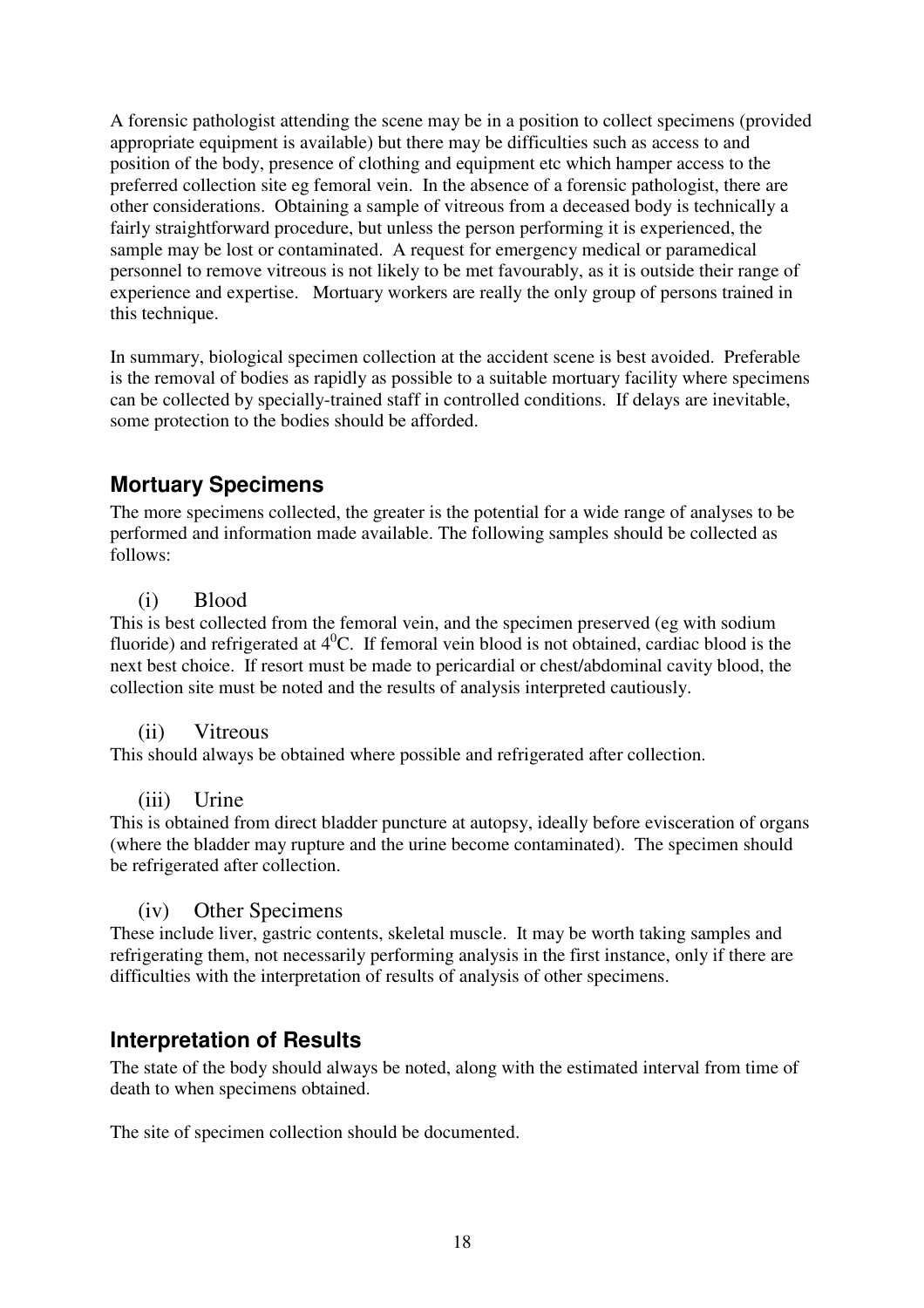A forensic pathologist attending the scene may be in a position to collect specimens (provided appropriate equipment is available) but there may be difficulties such as access to and position of the body, presence of clothing and equipment etc which hamper access to the preferred collection site eg femoral vein. In the absence of a forensic pathologist, there are other considerations. Obtaining a sample of vitreous from a deceased body is technically a fairly straightforward procedure, but unless the person performing it is experienced, the sample may be lost or contaminated. A request for emergency medical or paramedical personnel to remove vitreous is not likely to be met favourably, as it is outside their range of experience and expertise. Mortuary workers are really the only group of persons trained in this technique.

In summary, biological specimen collection at the accident scene is best avoided. Preferable is the removal of bodies as rapidly as possible to a suitable mortuary facility where specimens can be collected by specially-trained staff in controlled conditions. If delays are inevitable, some protection to the bodies should be afforded.

# **Mortuary Specimens**

The more specimens collected, the greater is the potential for a wide range of analyses to be performed and information made available. The following samples should be collected as follows:

#### (i) Blood

This is best collected from the femoral vein, and the specimen preserved (eg with sodium fluoride) and refrigerated at  $4^0C$ . If femoral vein blood is not obtained, cardiac blood is the next best choice. If resort must be made to pericardial or chest/abdominal cavity blood, the collection site must be noted and the results of analysis interpreted cautiously.

#### (ii) Vitreous

This should always be obtained where possible and refrigerated after collection.

#### (iii) Urine

This is obtained from direct bladder puncture at autopsy, ideally before evisceration of organs (where the bladder may rupture and the urine become contaminated). The specimen should be refrigerated after collection.

#### (iv) Other Specimens

These include liver, gastric contents, skeletal muscle. It may be worth taking samples and refrigerating them, not necessarily performing analysis in the first instance, only if there are difficulties with the interpretation of results of analysis of other specimens.

### **Interpretation of Results**

The state of the body should always be noted, along with the estimated interval from time of death to when specimens obtained.

The site of specimen collection should be documented.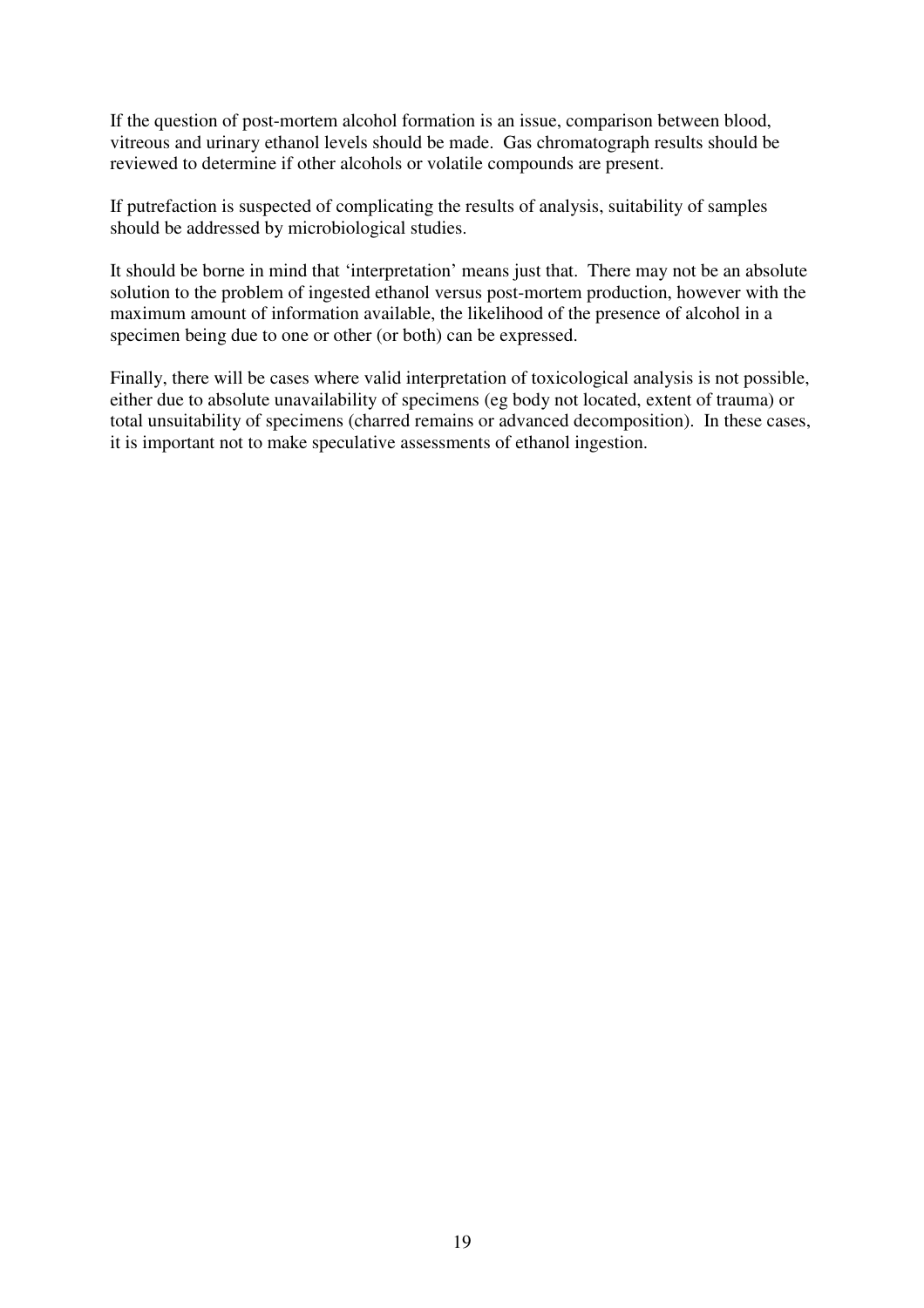If the question of post-mortem alcohol formation is an issue, comparison between blood, vitreous and urinary ethanol levels should be made. Gas chromatograph results should be reviewed to determine if other alcohols or volatile compounds are present.

If putrefaction is suspected of complicating the results of analysis, suitability of samples should be addressed by microbiological studies.

It should be borne in mind that 'interpretation' means just that. There may not be an absolute solution to the problem of ingested ethanol versus post-mortem production, however with the maximum amount of information available, the likelihood of the presence of alcohol in a specimen being due to one or other (or both) can be expressed.

Finally, there will be cases where valid interpretation of toxicological analysis is not possible, either due to absolute unavailability of specimens (eg body not located, extent of trauma) or total unsuitability of specimens (charred remains or advanced decomposition). In these cases, it is important not to make speculative assessments of ethanol ingestion.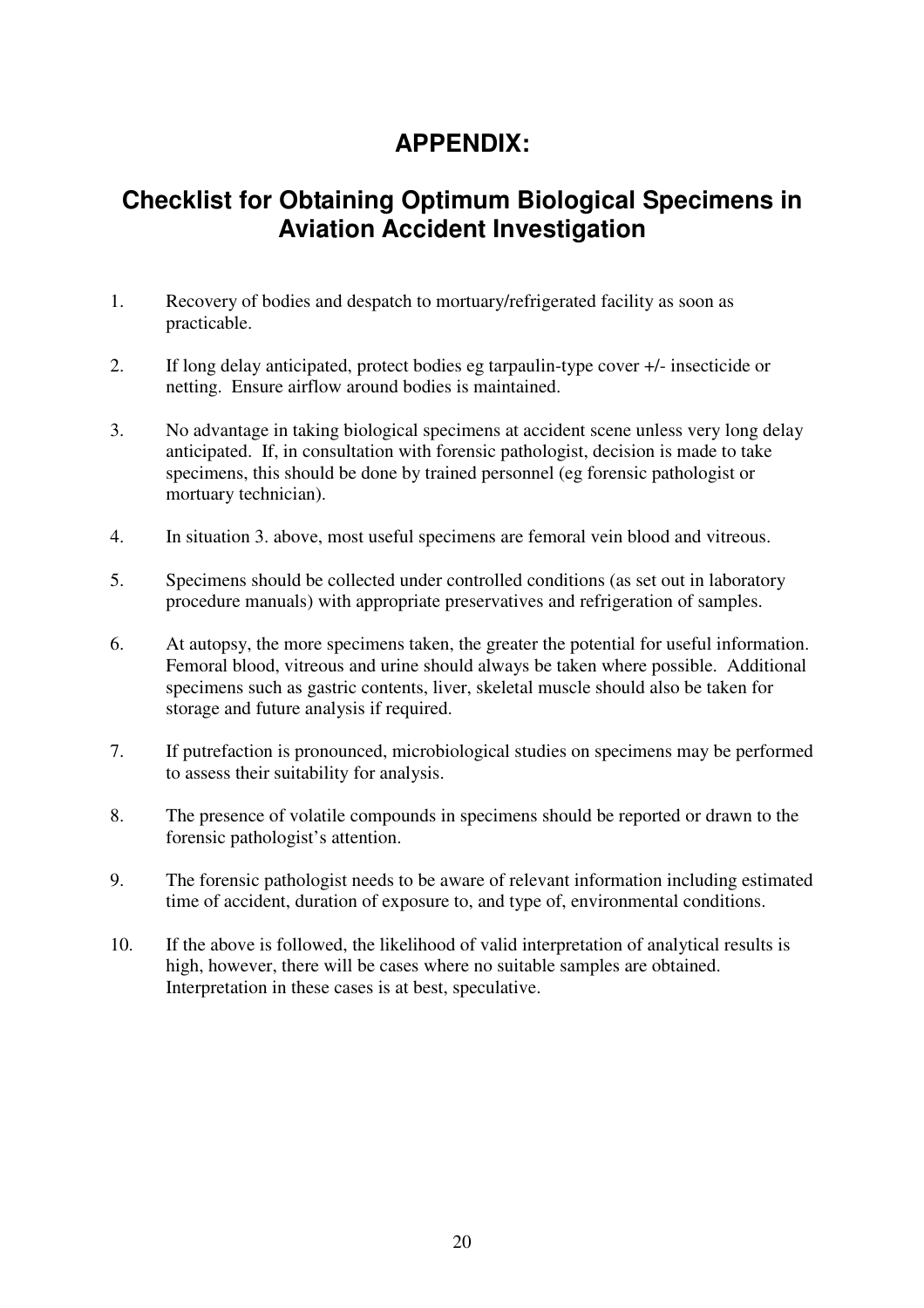# **APPENDIX:**

# **Checklist for Obtaining Optimum Biological Specimens in Aviation Accident Investigation**

- 1. Recovery of bodies and despatch to mortuary/refrigerated facility as soon as practicable.
- 2. If long delay anticipated, protect bodies eg tarpaulin-type cover +/- insecticide or netting. Ensure airflow around bodies is maintained.
- 3. No advantage in taking biological specimens at accident scene unless very long delay anticipated. If, in consultation with forensic pathologist, decision is made to take specimens, this should be done by trained personnel (eg forensic pathologist or mortuary technician).
- 4. In situation 3. above, most useful specimens are femoral vein blood and vitreous.
- 5. Specimens should be collected under controlled conditions (as set out in laboratory procedure manuals) with appropriate preservatives and refrigeration of samples.
- 6. At autopsy, the more specimens taken, the greater the potential for useful information. Femoral blood, vitreous and urine should always be taken where possible. Additional specimens such as gastric contents, liver, skeletal muscle should also be taken for storage and future analysis if required.
- 7. If putrefaction is pronounced, microbiological studies on specimens may be performed to assess their suitability for analysis.
- 8. The presence of volatile compounds in specimens should be reported or drawn to the forensic pathologist's attention.
- 9. The forensic pathologist needs to be aware of relevant information including estimated time of accident, duration of exposure to, and type of, environmental conditions.
- 10. If the above is followed, the likelihood of valid interpretation of analytical results is high, however, there will be cases where no suitable samples are obtained. Interpretation in these cases is at best, speculative.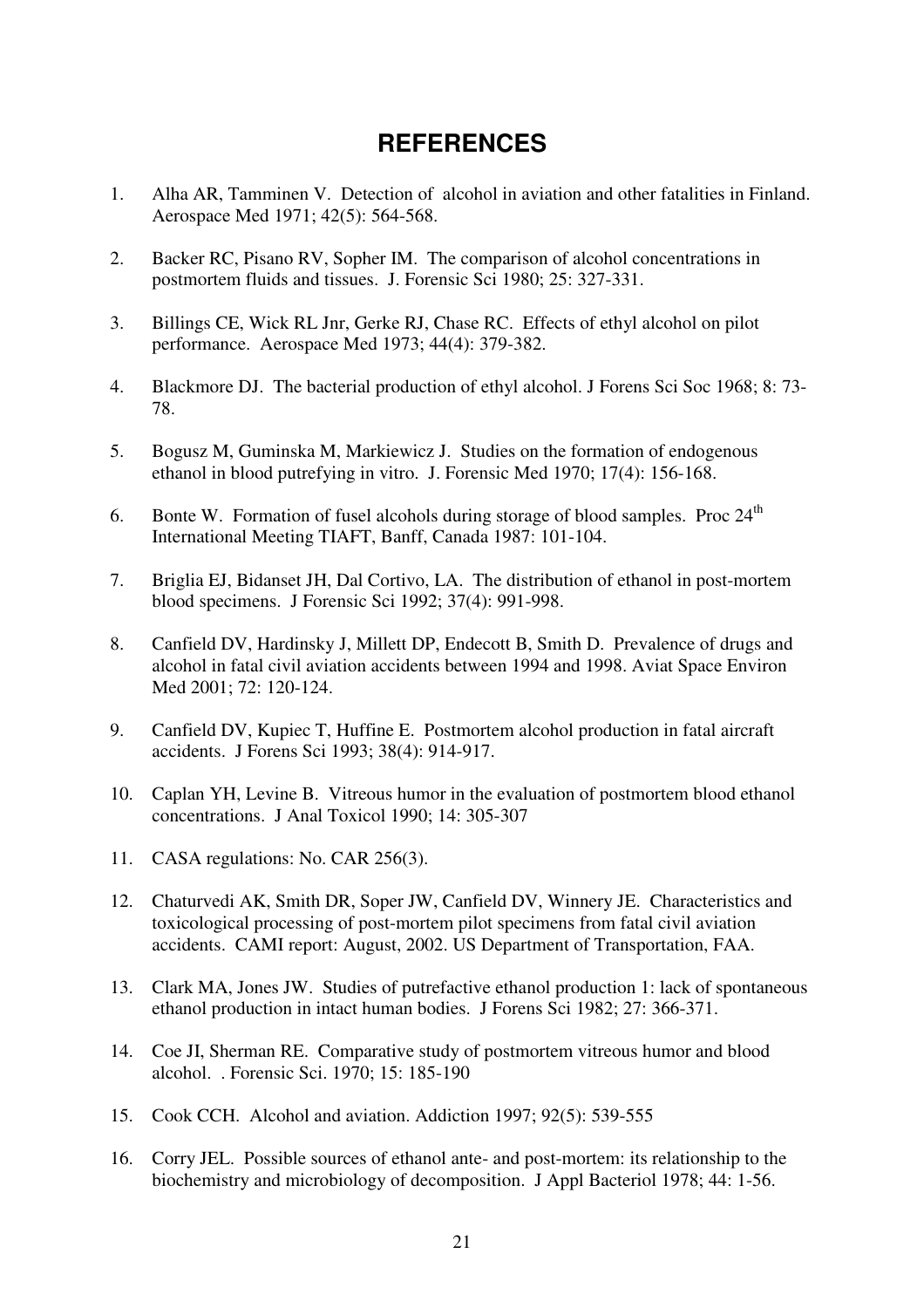# **REFERENCES**

- 1. Alha AR, Tamminen V. Detection of alcohol in aviation and other fatalities in Finland. Aerospace Med 1971; 42(5): 564-568.
- 2. Backer RC, Pisano RV, Sopher IM. The comparison of alcohol concentrations in postmortem fluids and tissues. J. Forensic Sci 1980; 25: 327-331.
- 3. Billings CE, Wick RL Jnr, Gerke RJ, Chase RC. Effects of ethyl alcohol on pilot performance. Aerospace Med 1973; 44(4): 379-382.
- 4. Blackmore DJ. The bacterial production of ethyl alcohol. J Forens Sci Soc 1968; 8: 73- 78.
- 5. Bogusz M, Guminska M, Markiewicz J. Studies on the formation of endogenous ethanol in blood putrefying in vitro. J. Forensic Med 1970; 17(4): 156-168.
- 6. Bonte W. Formation of fusel alcohols during storage of blood samples. Proc  $24<sup>th</sup>$ International Meeting TIAFT, Banff, Canada 1987: 101-104.
- 7. Briglia EJ, Bidanset JH, Dal Cortivo, LA. The distribution of ethanol in post-mortem blood specimens. J Forensic Sci 1992; 37(4): 991-998.
- 8. Canfield DV, Hardinsky J, Millett DP, Endecott B, Smith D. Prevalence of drugs and alcohol in fatal civil aviation accidents between 1994 and 1998. Aviat Space Environ Med 2001; 72: 120-124.
- 9. Canfield DV, Kupiec T, Huffine E. Postmortem alcohol production in fatal aircraft accidents. J Forens Sci 1993; 38(4): 914-917.
- 10. Caplan YH, Levine B. Vitreous humor in the evaluation of postmortem blood ethanol concentrations. J Anal Toxicol 1990; 14: 305-307
- 11. CASA regulations: No. CAR 256(3).
- 12. Chaturvedi AK, Smith DR, Soper JW, Canfield DV, Winnery JE. Characteristics and toxicological processing of post-mortem pilot specimens from fatal civil aviation accidents. CAMI report: August, 2002. US Department of Transportation, FAA.
- 13. Clark MA, Jones JW. Studies of putrefactive ethanol production 1: lack of spontaneous ethanol production in intact human bodies. J Forens Sci 1982; 27: 366-371.
- 14. Coe JI, Sherman RE. Comparative study of postmortem vitreous humor and blood alcohol. . Forensic Sci. 1970; 15: 185-190
- 15. Cook CCH. Alcohol and aviation. Addiction 1997; 92(5): 539-555
- 16. Corry JEL. Possible sources of ethanol ante- and post-mortem: its relationship to the biochemistry and microbiology of decomposition. J Appl Bacteriol 1978; 44: 1-56.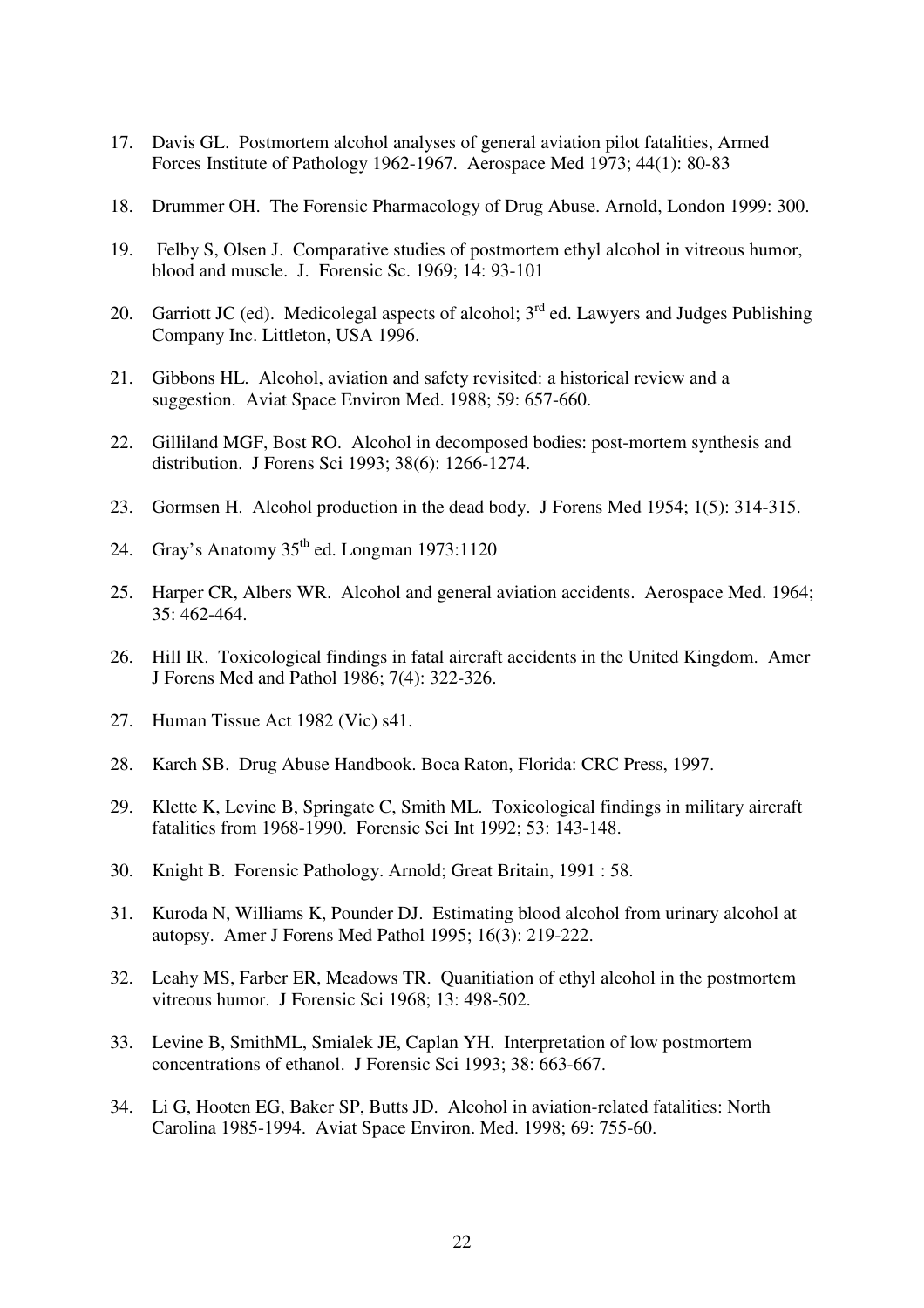- 17. Davis GL. Postmortem alcohol analyses of general aviation pilot fatalities, Armed Forces Institute of Pathology 1962-1967. Aerospace Med 1973; 44(1): 80-83
- 18. Drummer OH. The Forensic Pharmacology of Drug Abuse. Arnold, London 1999: 300.
- 19. Felby S, Olsen J. Comparative studies of postmortem ethyl alcohol in vitreous humor, blood and muscle. J. Forensic Sc. 1969; 14: 93-101
- 20. Garriott JC (ed). Medicolegal aspects of alcohol;  $3<sup>rd</sup>$  ed. Lawyers and Judges Publishing Company Inc. Littleton, USA 1996.
- 21. Gibbons HL. Alcohol, aviation and safety revisited: a historical review and a suggestion. Aviat Space Environ Med. 1988; 59: 657-660.
- 22. Gilliland MGF, Bost RO. Alcohol in decomposed bodies: post-mortem synthesis and distribution. J Forens Sci 1993; 38(6): 1266-1274.
- 23. Gormsen H. Alcohol production in the dead body. J Forens Med 1954; 1(5): 314-315.
- 24. Gray's Anatomy  $35<sup>th</sup>$  ed. Longman 1973:1120
- 25. Harper CR, Albers WR. Alcohol and general aviation accidents. Aerospace Med. 1964; 35: 462-464.
- 26. Hill IR. Toxicological findings in fatal aircraft accidents in the United Kingdom. Amer J Forens Med and Pathol 1986; 7(4): 322-326.
- 27. Human Tissue Act 1982 (Vic) s41.
- 28. Karch SB. Drug Abuse Handbook. Boca Raton, Florida: CRC Press, 1997.
- 29. Klette K, Levine B, Springate C, Smith ML. Toxicological findings in military aircraft fatalities from 1968-1990. Forensic Sci Int 1992; 53: 143-148.
- 30. Knight B. Forensic Pathology. Arnold; Great Britain, 1991 : 58.
- 31. Kuroda N, Williams K, Pounder DJ. Estimating blood alcohol from urinary alcohol at autopsy. Amer J Forens Med Pathol 1995; 16(3): 219-222.
- 32. Leahy MS, Farber ER, Meadows TR. Quanitiation of ethyl alcohol in the postmortem vitreous humor. J Forensic Sci 1968; 13: 498-502.
- 33. Levine B, SmithML, Smialek JE, Caplan YH. Interpretation of low postmortem concentrations of ethanol. J Forensic Sci 1993; 38: 663-667.
- 34. Li G, Hooten EG, Baker SP, Butts JD. Alcohol in aviation-related fatalities: North Carolina 1985-1994. Aviat Space Environ. Med. 1998; 69: 755-60.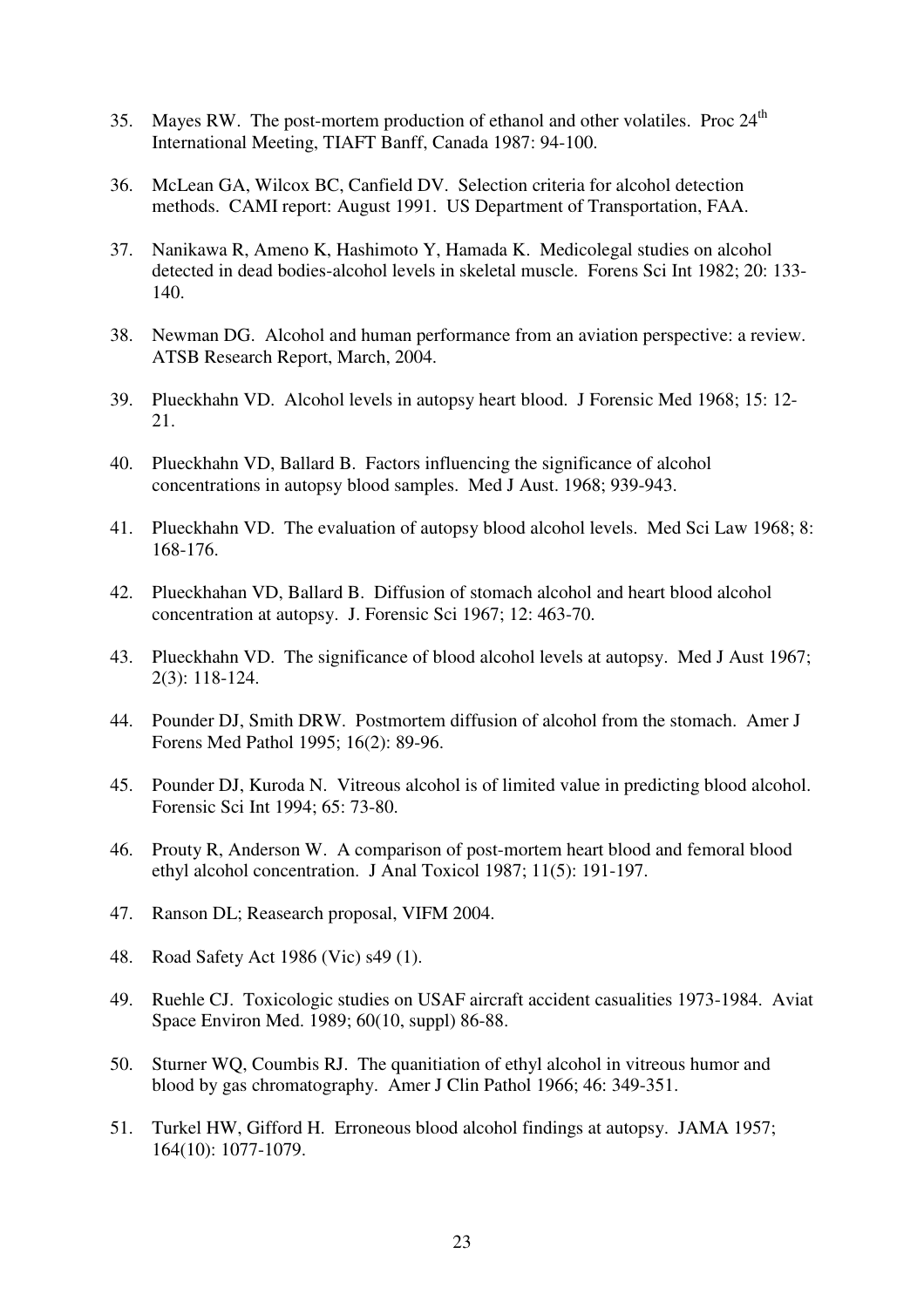- 35. Mayes RW. The post-mortem production of ethanol and other volatiles. Proc  $24<sup>th</sup>$ International Meeting, TIAFT Banff, Canada 1987: 94-100.
- 36. McLean GA, Wilcox BC, Canfield DV. Selection criteria for alcohol detection methods. CAMI report: August 1991. US Department of Transportation, FAA.
- 37. Nanikawa R, Ameno K, Hashimoto Y, Hamada K. Medicolegal studies on alcohol detected in dead bodies-alcohol levels in skeletal muscle. Forens Sci Int 1982; 20: 133- 140.
- 38. Newman DG. Alcohol and human performance from an aviation perspective: a review. ATSB Research Report, March, 2004.
- 39. Plueckhahn VD. Alcohol levels in autopsy heart blood. J Forensic Med 1968; 15: 12- 21.
- 40. Plueckhahn VD, Ballard B. Factors influencing the significance of alcohol concentrations in autopsy blood samples. Med J Aust. 1968; 939-943.
- 41. Plueckhahn VD. The evaluation of autopsy blood alcohol levels. Med Sci Law 1968; 8: 168-176.
- 42. Plueckhahan VD, Ballard B. Diffusion of stomach alcohol and heart blood alcohol concentration at autopsy. J. Forensic Sci 1967; 12: 463-70.
- 43. Plueckhahn VD. The significance of blood alcohol levels at autopsy. Med J Aust 1967; 2(3): 118-124.
- 44. Pounder DJ, Smith DRW. Postmortem diffusion of alcohol from the stomach. Amer J Forens Med Pathol 1995; 16(2): 89-96.
- 45. Pounder DJ, Kuroda N. Vitreous alcohol is of limited value in predicting blood alcohol. Forensic Sci Int 1994; 65: 73-80.
- 46. Prouty R, Anderson W. A comparison of post-mortem heart blood and femoral blood ethyl alcohol concentration. J Anal Toxicol 1987; 11(5): 191-197.
- 47. Ranson DL; Reasearch proposal, VIFM 2004.
- 48. Road Safety Act 1986 (Vic) s49 (1).
- 49. Ruehle CJ. Toxicologic studies on USAF aircraft accident casualities 1973-1984. Aviat Space Environ Med. 1989; 60(10, suppl) 86-88.
- 50. Sturner WQ, Coumbis RJ. The quanitiation of ethyl alcohol in vitreous humor and blood by gas chromatography. Amer J Clin Pathol 1966; 46: 349-351.
- 51. Turkel HW, Gifford H. Erroneous blood alcohol findings at autopsy. JAMA 1957; 164(10): 1077-1079.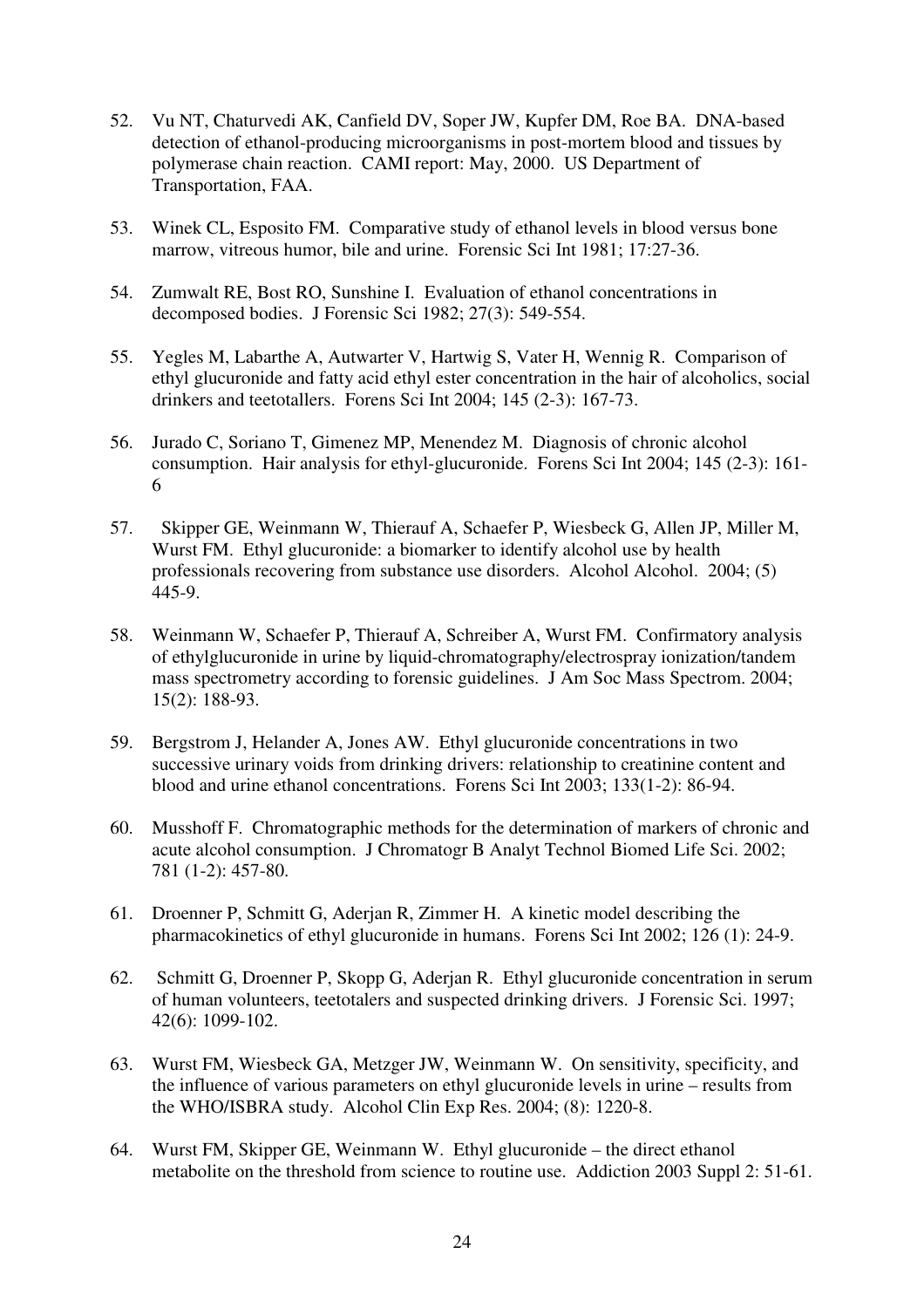- 52. Vu NT, Chaturvedi AK, Canfield DV, Soper JW, Kupfer DM, Roe BA. DNA-based detection of ethanol-producing microorganisms in post-mortem blood and tissues by polymerase chain reaction. CAMI report: May, 2000. US Department of Transportation, FAA.
- 53. Winek CL, Esposito FM. Comparative study of ethanol levels in blood versus bone marrow, vitreous humor, bile and urine. Forensic Sci Int 1981; 17:27-36.
- 54. Zumwalt RE, Bost RO, Sunshine I. Evaluation of ethanol concentrations in decomposed bodies. J Forensic Sci 1982; 27(3): 549-554.
- 55. Yegles M, Labarthe A, Autwarter V, Hartwig S, Vater H, Wennig R. Comparison of ethyl glucuronide and fatty acid ethyl ester concentration in the hair of alcoholics, social drinkers and teetotallers. Forens Sci Int 2004; 145 (2-3): 167-73.
- 56. Jurado C, Soriano T, Gimenez MP, Menendez M. Diagnosis of chronic alcohol consumption. Hair analysis for ethyl-glucuronide. Forens Sci Int 2004; 145 (2-3): 161- 6
- 57. Skipper GE, Weinmann W, Thierauf A, Schaefer P, Wiesbeck G, Allen JP, Miller M, Wurst FM. Ethyl glucuronide: a biomarker to identify alcohol use by health professionals recovering from substance use disorders. Alcohol Alcohol. 2004; (5) 445-9.
- 58. Weinmann W, Schaefer P, Thierauf A, Schreiber A, Wurst FM. Confirmatory analysis of ethylglucuronide in urine by liquid-chromatography/electrospray ionization/tandem mass spectrometry according to forensic guidelines. J Am Soc Mass Spectrom. 2004; 15(2): 188-93.
- 59. Bergstrom J, Helander A, Jones AW. Ethyl glucuronide concentrations in two successive urinary voids from drinking drivers: relationship to creatinine content and blood and urine ethanol concentrations. Forens Sci Int 2003; 133(1-2): 86-94.
- 60. Musshoff F. Chromatographic methods for the determination of markers of chronic and acute alcohol consumption. J Chromatogr B Analyt Technol Biomed Life Sci. 2002; 781 (1-2): 457-80.
- 61. Droenner P, Schmitt G, Aderjan R, Zimmer H. A kinetic model describing the pharmacokinetics of ethyl glucuronide in humans. Forens Sci Int 2002; 126 (1): 24-9.
- 62. Schmitt G, Droenner P, Skopp G, Aderjan R. Ethyl glucuronide concentration in serum of human volunteers, teetotalers and suspected drinking drivers. J Forensic Sci. 1997; 42(6): 1099-102.
- 63. Wurst FM, Wiesbeck GA, Metzger JW, Weinmann W. On sensitivity, specificity, and the influence of various parameters on ethyl glucuronide levels in urine – results from the WHO/ISBRA study. Alcohol Clin Exp Res. 2004; (8): 1220-8.
- 64. Wurst FM, Skipper GE, Weinmann W. Ethyl glucuronide the direct ethanol metabolite on the threshold from science to routine use. Addiction 2003 Suppl 2: 51-61.